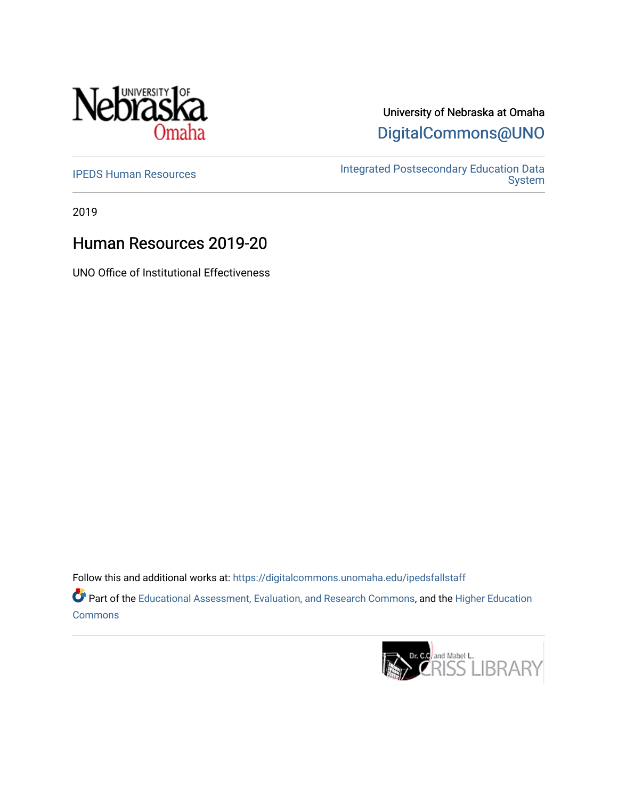

# University of Nebraska at Omaha [DigitalCommons@UNO](https://digitalcommons.unomaha.edu/)

[IPEDS Human Resources](https://digitalcommons.unomaha.edu/ipedsfallstaff) Integrated Postsecondary Education Data [System](https://digitalcommons.unomaha.edu/oieipeds) 

2019

# Human Resources 2019-20

UNO Office of Institutional Effectiveness

Follow this and additional works at: [https://digitalcommons.unomaha.edu/ipedsfallstaff](https://digitalcommons.unomaha.edu/ipedsfallstaff?utm_source=digitalcommons.unomaha.edu%2Fipedsfallstaff%2F51&utm_medium=PDF&utm_campaign=PDFCoverPages)  Part of the [Educational Assessment, Evaluation, and Research Commons](http://network.bepress.com/hgg/discipline/796?utm_source=digitalcommons.unomaha.edu%2Fipedsfallstaff%2F51&utm_medium=PDF&utm_campaign=PDFCoverPages), and the [Higher Education](http://network.bepress.com/hgg/discipline/1245?utm_source=digitalcommons.unomaha.edu%2Fipedsfallstaff%2F51&utm_medium=PDF&utm_campaign=PDFCoverPages) **[Commons](http://network.bepress.com/hgg/discipline/1245?utm_source=digitalcommons.unomaha.edu%2Fipedsfallstaff%2F51&utm_medium=PDF&utm_campaign=PDFCoverPages)** 

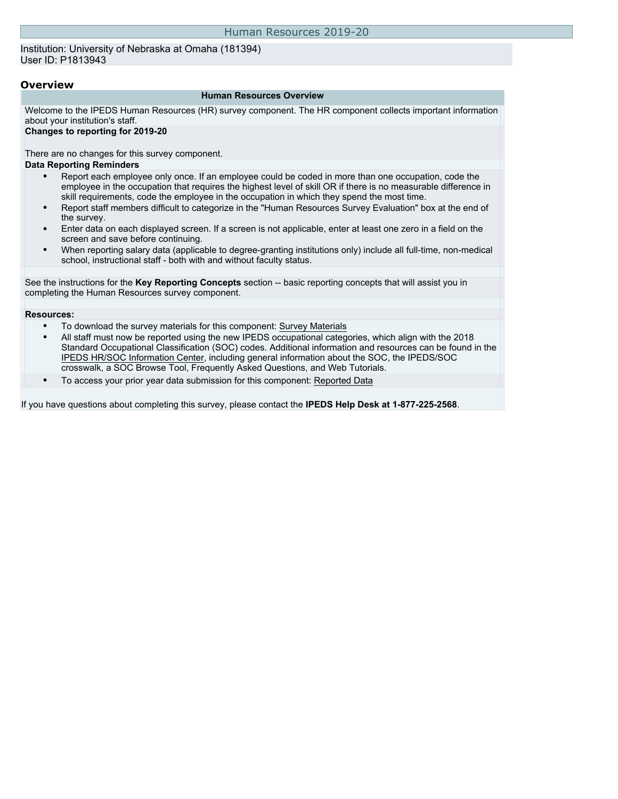Institution: University of Nebraska at Omaha (181394) User ID: P1813943

#### **Overview**

#### **Human Resources Overview**

Welcome to the IPEDS Human Resources (HR) survey component. The HR component collects important information about your institution's staff.

#### **Changes to reporting for 2019-20**

There are no changes for this survey component. **Data Reporting Reminders**

- Report each employee only once. If an employee could be coded in more than one occupation, code the employee in the occupation that requires the highest level of skill OR if there is no measurable difference in skill requirements, code the employee in the occupation in which they spend the most time.
- Report staff members difficult to categorize in the "Human Resources Survey Evaluation" box at the end of the survey.
- Enter data on each displayed screen. If a screen is not applicable, enter at least one zero in a field on the screen and save before continuing.
- When reporting salary data (applicable to degree-granting institutions only) include all full-time, non-medical school, instructional staff - both with and without faculty status.

See the instructions for the **Key Reporting Concepts** section -- basic reporting concepts that will assist you in completing the Human Resources survey component.

#### **Resources:**

- To download the survey materials for this component: [Survey Materials](https://surveys.nces.ed.gov/ipeds/VisIndex.aspx)
- All staff must now be reported using the new IPEDS occupational categories, which align with the 2018 Standard Occupational Classification (SOC) codes. Additional information and resources can be found in the [IPEDS HR/SOC Information Center](https://nces.ed.gov/ipeds/report-your-data/taxonomies-standard-occupational-classification-soc-codes), including general information about the SOC, the IPEDS/SOC crosswalk, a SOC Browse Tool, Frequently Asked Questions, and Web Tutorials.
- To access your prior year data submission for this component: [Reported Data](http://192.168.102.153/ipeds/PriorYearDataRedirect.aspx?survey_id=1)

If you have questions about completing this survey, please contact the **IPEDS Help Desk at 1-877-225-2568**.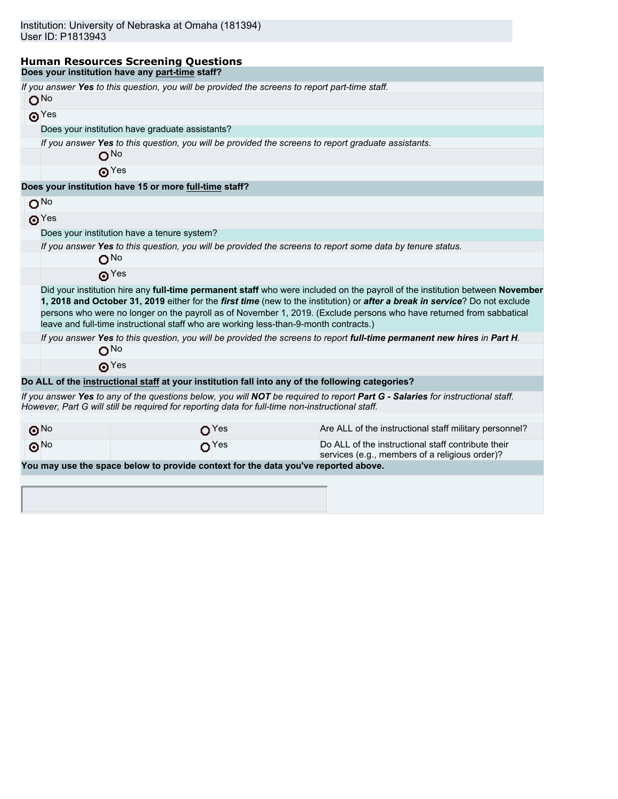#### **Human Resources Screening Questions Does your institution have any part-time staff?**

| If you answer Yes to this question, you will be provided the screens to report part-time staff.<br>O <sub>No</sub>                                                                                                                                                                                                                                                                                                                                                           |                  |                                                                                                                                |  |  |  |  |  |  |  |  |
|------------------------------------------------------------------------------------------------------------------------------------------------------------------------------------------------------------------------------------------------------------------------------------------------------------------------------------------------------------------------------------------------------------------------------------------------------------------------------|------------------|--------------------------------------------------------------------------------------------------------------------------------|--|--|--|--|--|--|--|--|
|                                                                                                                                                                                                                                                                                                                                                                                                                                                                              |                  |                                                                                                                                |  |  |  |  |  |  |  |  |
| $\odot$ Yes                                                                                                                                                                                                                                                                                                                                                                                                                                                                  |                  |                                                                                                                                |  |  |  |  |  |  |  |  |
| Does your institution have graduate assistants?                                                                                                                                                                                                                                                                                                                                                                                                                              |                  |                                                                                                                                |  |  |  |  |  |  |  |  |
|                                                                                                                                                                                                                                                                                                                                                                                                                                                                              |                  | If you answer Yes to this question, you will be provided the screens to report graduate assistants.                            |  |  |  |  |  |  |  |  |
| ON∘                                                                                                                                                                                                                                                                                                                                                                                                                                                                          |                  |                                                                                                                                |  |  |  |  |  |  |  |  |
| $\odot$ Yes                                                                                                                                                                                                                                                                                                                                                                                                                                                                  |                  |                                                                                                                                |  |  |  |  |  |  |  |  |
| Does your institution have 15 or more full-time staff?                                                                                                                                                                                                                                                                                                                                                                                                                       |                  |                                                                                                                                |  |  |  |  |  |  |  |  |
| O <sub>No</sub>                                                                                                                                                                                                                                                                                                                                                                                                                                                              |                  |                                                                                                                                |  |  |  |  |  |  |  |  |
| $\odot$ <sup>Yes</sup>                                                                                                                                                                                                                                                                                                                                                                                                                                                       |                  |                                                                                                                                |  |  |  |  |  |  |  |  |
| Does your institution have a tenure system?                                                                                                                                                                                                                                                                                                                                                                                                                                  |                  |                                                                                                                                |  |  |  |  |  |  |  |  |
|                                                                                                                                                                                                                                                                                                                                                                                                                                                                              |                  | If you answer Yes to this question, you will be provided the screens to report some data by tenure status.                     |  |  |  |  |  |  |  |  |
| $O^{No}$                                                                                                                                                                                                                                                                                                                                                                                                                                                                     |                  |                                                                                                                                |  |  |  |  |  |  |  |  |
| $\mathbf{\Theta}^{\text{Yes}}$                                                                                                                                                                                                                                                                                                                                                                                                                                               |                  |                                                                                                                                |  |  |  |  |  |  |  |  |
| Did your institution hire any full-time permanent staff who were included on the payroll of the institution between November<br>1, 2018 and October 31, 2019 either for the first time (new to the institution) or after a break in service? Do not exclude<br>persons who were no longer on the payroll as of November 1, 2019. (Exclude persons who have returned from sabbatical<br>leave and full-time instructional staff who are working less-than-9-month contracts.) |                  |                                                                                                                                |  |  |  |  |  |  |  |  |
|                                                                                                                                                                                                                                                                                                                                                                                                                                                                              |                  | If you answer Yes to this question, you will be provided the screens to report full-time permanent new hires in Part H.        |  |  |  |  |  |  |  |  |
| $O^{No}$                                                                                                                                                                                                                                                                                                                                                                                                                                                                     |                  |                                                                                                                                |  |  |  |  |  |  |  |  |
| $\odot$ Yes                                                                                                                                                                                                                                                                                                                                                                                                                                                                  |                  |                                                                                                                                |  |  |  |  |  |  |  |  |
|                                                                                                                                                                                                                                                                                                                                                                                                                                                                              |                  | Do ALL of the instructional staff at your institution fall into any of the following categories?                               |  |  |  |  |  |  |  |  |
| However, Part G will still be required for reporting data for full-time non-instructional staff.                                                                                                                                                                                                                                                                                                                                                                             |                  | If you answer Yes to any of the questions below, you will NOT be required to report Part G - Salaries for instructional staff. |  |  |  |  |  |  |  |  |
| $\odot$ <sup>No</sup>                                                                                                                                                                                                                                                                                                                                                                                                                                                        | O <sup>Yes</sup> | Are ALL of the instructional staff military personnel?                                                                         |  |  |  |  |  |  |  |  |
| $\odot$ <sup>No</sup>                                                                                                                                                                                                                                                                                                                                                                                                                                                        | O <sup>Yes</sup> | Do ALL of the instructional staff contribute their<br>services (e.g., members of a religious order)?                           |  |  |  |  |  |  |  |  |
| You may use the space below to provide context for the data you've reported above.                                                                                                                                                                                                                                                                                                                                                                                           |                  |                                                                                                                                |  |  |  |  |  |  |  |  |
|                                                                                                                                                                                                                                                                                                                                                                                                                                                                              |                  |                                                                                                                                |  |  |  |  |  |  |  |  |
|                                                                                                                                                                                                                                                                                                                                                                                                                                                                              |                  |                                                                                                                                |  |  |  |  |  |  |  |  |
|                                                                                                                                                                                                                                                                                                                                                                                                                                                                              |                  |                                                                                                                                |  |  |  |  |  |  |  |  |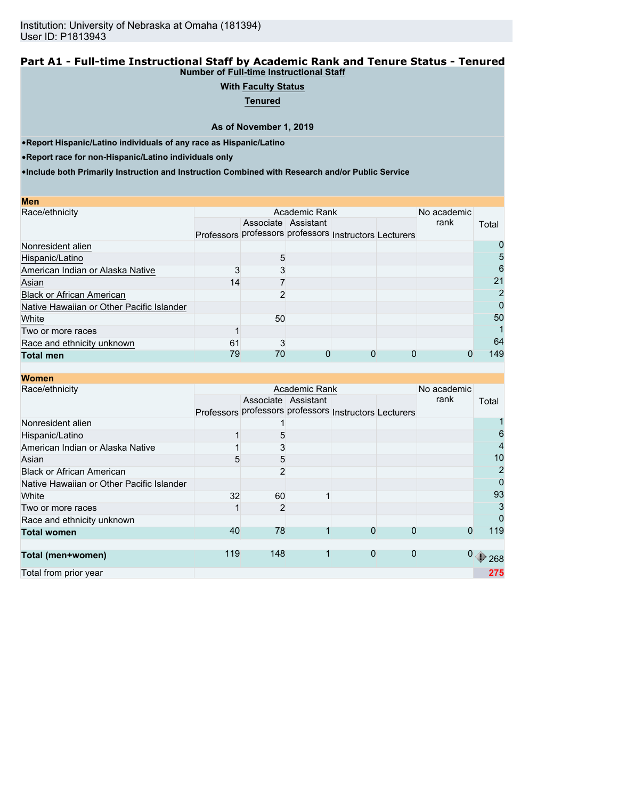#### **Part A1 - Full-time Instructional Staff by Academic Rank and Tenure Status - Tenured Number of Full-time Instructional Staff**

# **With Faculty Status**

**Tenured**

**As of November 1, 2019**

•**Report Hispanic/Latino individuals of any race as Hispanic/Latino**

•**Report race for non-Hispanic/Latino individuals only**

| <b>Men</b>                                |                                                        |                     |   |             |      |                |
|-------------------------------------------|--------------------------------------------------------|---------------------|---|-------------|------|----------------|
| Race/ethnicity                            |                                                        | Academic Rank       |   | No academic |      |                |
|                                           |                                                        | Associate Assistant |   |             | rank | Total          |
|                                           | Professors professors professors Instructors Lecturers |                     |   |             |      |                |
| Nonresident alien                         |                                                        |                     |   |             |      |                |
| Hispanic/Latino                           |                                                        | 5                   |   |             |      | 5              |
| American Indian or Alaska Native          |                                                        |                     |   |             |      | 6              |
| Asian                                     | 14                                                     |                     |   |             |      | 21             |
| <b>Black or African American</b>          |                                                        | ŋ                   |   |             |      | $\overline{2}$ |
| Native Hawaiian or Other Pacific Islander |                                                        |                     |   |             |      |                |
| White                                     |                                                        | 50                  |   |             |      | 50             |
| Two or more races                         |                                                        |                     |   |             |      |                |
| Race and ethnicity unknown                | 61                                                     | 3                   |   |             |      | 64             |
| <b>Total men</b>                          | 79                                                     | 70                  | 0 | 0           |      | 149            |

| <b>Women</b>                              |     |                |                     |                                                        |             |      |                                               |
|-------------------------------------------|-----|----------------|---------------------|--------------------------------------------------------|-------------|------|-----------------------------------------------|
| Race/ethnicity                            |     | Academic Rank  | No academic         |                                                        |             |      |                                               |
|                                           |     |                | Associate Assistant |                                                        |             | rank | Total                                         |
|                                           |     |                |                     | Professors professors professors Instructors Lecturers |             |      |                                               |
| Nonresident alien                         |     |                |                     |                                                        |             |      |                                               |
| Hispanic/Latino                           |     | 5              |                     |                                                        |             |      | 6                                             |
| American Indian or Alaska Native          |     | 3              |                     |                                                        |             |      | 4                                             |
| Asian                                     | 5   | 5              |                     |                                                        |             |      | 10                                            |
| <b>Black or African American</b>          |     | 2              |                     |                                                        |             |      | 2                                             |
| Native Hawaiian or Other Pacific Islander |     |                |                     |                                                        |             |      | 0                                             |
| White                                     | 32  | 60             |                     |                                                        |             |      | 93                                            |
| Two or more races                         |     | $\overline{2}$ |                     |                                                        |             |      | 3                                             |
| Race and ethnicity unknown                |     |                |                     |                                                        |             |      | 0                                             |
| <b>Total women</b>                        | 40  | 78             |                     | 0                                                      | $\Omega$    | 0    | 119                                           |
|                                           |     |                |                     |                                                        |             |      |                                               |
| Total (men+women)                         | 119 | 148            |                     | $\mathbf{0}$                                           | $\mathbf 0$ |      | $\begin{smallmatrix}0&1\end{smallmatrix}$ 268 |
| Total from prior year                     |     |                |                     |                                                        |             |      | 275                                           |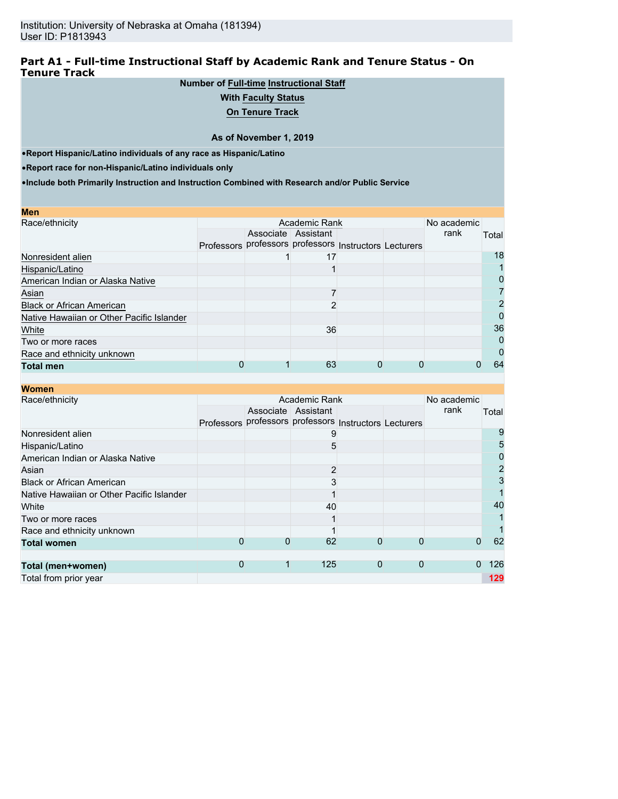## **Part A1 - Full-time Instructional Staff by Academic Rank and Tenure Status - On Tenure Track**

# **Number of Full-time Instructional Staff**

## **With Faculty Status**

# **On Tenure Track**

#### **As of November 1, 2019**

•**Report Hispanic/Latino individuals of any race as Hispanic/Latino**

•**Report race for non-Hispanic/Latino individuals only**

| <b>Men</b>                                |            |                                             |  |             |       |
|-------------------------------------------|------------|---------------------------------------------|--|-------------|-------|
| Race/ethnicity                            |            | Academic Rank                               |  | No academic |       |
|                                           |            | Associate Assistant                         |  | rank        | Total |
|                                           | Professors | professors professors Instructors Lecturers |  |             |       |
| Nonresident alien                         |            | 17                                          |  |             | 18    |
| Hispanic/Latino                           |            |                                             |  |             |       |
| American Indian or Alaska Native          |            |                                             |  |             | 0     |
| Asian                                     |            |                                             |  |             |       |
| <b>Black or African American</b>          |            |                                             |  |             |       |
| Native Hawaiian or Other Pacific Islander |            |                                             |  |             | 0     |
| White                                     |            | 36                                          |  |             | 36    |
| Two or more races                         |            |                                             |  |             | 0     |
| Race and ethnicity unknown                |            |                                             |  |             | 0     |
| <b>Total men</b>                          |            | 63                                          |  |             | 64    |

| <b>Women</b>                              |   |   |                                                        |   |          |             |                |
|-------------------------------------------|---|---|--------------------------------------------------------|---|----------|-------------|----------------|
| Race/ethnicity                            |   |   | Academic Rank                                          |   |          | No academic |                |
|                                           |   |   | Associate Assistant                                    |   |          | rank        | Total          |
|                                           |   |   | Professors professors professors Instructors Lecturers |   |          |             |                |
| Nonresident alien                         |   |   |                                                        |   |          |             | 9              |
| Hispanic/Latino                           |   |   | 5                                                      |   |          |             | 5              |
| American Indian or Alaska Native          |   |   |                                                        |   |          |             | 0              |
| Asian                                     |   |   | $\overline{2}$                                         |   |          |             | $\overline{2}$ |
| <b>Black or African American</b>          |   |   |                                                        |   |          |             | 3              |
| Native Hawaiian or Other Pacific Islander |   |   |                                                        |   |          |             |                |
| White                                     |   |   | 40                                                     |   |          |             | 40             |
| Two or more races                         |   |   |                                                        |   |          |             |                |
| Race and ethnicity unknown                |   |   |                                                        |   |          |             |                |
| <b>Total women</b>                        | 0 | 0 | 62                                                     | 0 | $\Omega$ | 0           | 62             |
|                                           |   |   |                                                        |   |          |             |                |
| Total (men+women)                         | 0 | 1 | 125                                                    | 0 | 0        | 0           | 126            |
| Total from prior year                     |   |   |                                                        |   |          |             | 129            |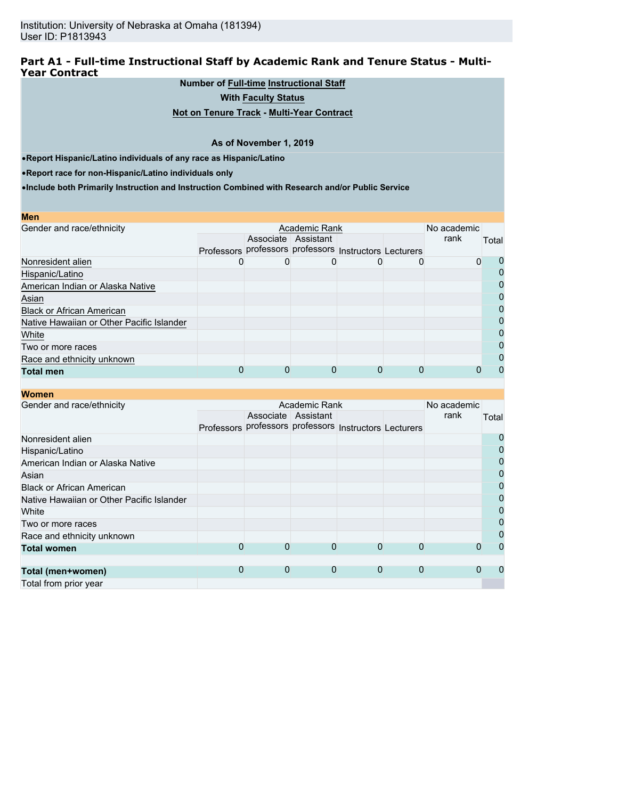## **Part A1 - Full-time Instructional Staff by Academic Rank and Tenure Status - Multi-Year Contract**

**Number of Full-time Instructional Staff**

**With Faculty Status**

**Not on Tenure Track - Multi-Year Contract**

#### **As of November 1, 2019**

•**Report Hispanic/Latino individuals of any race as Hispanic/Latino**

•**Report race for non-Hispanic/Latino individuals only**

**Women**

| <b>Men</b>                                |  |                                                        |   |             |              |
|-------------------------------------------|--|--------------------------------------------------------|---|-------------|--------------|
| Gender and race/ethnicity                 |  | Academic Rank                                          |   | No academic |              |
|                                           |  | Associate Assistant                                    |   | rank        | Total        |
|                                           |  | Professors professors professors Instructors Lecturers |   |             |              |
| Nonresident alien                         |  |                                                        | O | 0           |              |
| Hispanic/Latino                           |  |                                                        |   |             |              |
| American Indian or Alaska Native          |  |                                                        |   |             |              |
| Asian                                     |  |                                                        |   |             | O            |
| <b>Black or African American</b>          |  |                                                        |   |             |              |
| Native Hawaiian or Other Pacific Islander |  |                                                        |   |             | $\mathbf{I}$ |
| White                                     |  |                                                        |   |             | O            |
| Two or more races                         |  |                                                        |   |             |              |
| Race and ethnicity unknown                |  |                                                        |   |             |              |
| <b>Total men</b>                          |  | 0                                                      | 0 |             |              |

| молны                                     |   |   |                     |                                                        |   |             |                |
|-------------------------------------------|---|---|---------------------|--------------------------------------------------------|---|-------------|----------------|
| Gender and race/ethnicity                 |   |   | Academic Rank       |                                                        |   | No academic |                |
|                                           |   |   | Associate Assistant |                                                        |   | rank        | Total          |
|                                           |   |   |                     | Professors professors professors Instructors Lecturers |   |             |                |
| Nonresident alien                         |   |   |                     |                                                        |   |             | 0              |
| Hispanic/Latino                           |   |   |                     |                                                        |   |             | $\overline{0}$ |
| American Indian or Alaska Native          |   |   |                     |                                                        |   |             | $\overline{0}$ |
| Asian                                     |   |   |                     |                                                        |   |             | $\overline{0}$ |
| <b>Black or African American</b>          |   |   |                     |                                                        |   |             | $\overline{0}$ |
| Native Hawaiian or Other Pacific Islander |   |   |                     |                                                        |   |             | $\overline{0}$ |
| White                                     |   |   |                     |                                                        |   |             | $\mathbf 0$    |
| Two or more races                         |   |   |                     |                                                        |   |             | $\overline{0}$ |
| Race and ethnicity unknown                |   |   |                     |                                                        |   |             | $\mathbf 0$    |
| <b>Total women</b>                        | 0 | 0 | 0                   | $\Omega$                                               |   |             | $\Omega$       |
|                                           |   |   |                     |                                                        |   |             |                |
| Total (men+women)                         | 0 | 0 | $\mathbf 0$         | $\mathbf 0$                                            | 0 |             | 0              |
| Total from prior year                     |   |   |                     |                                                        |   |             |                |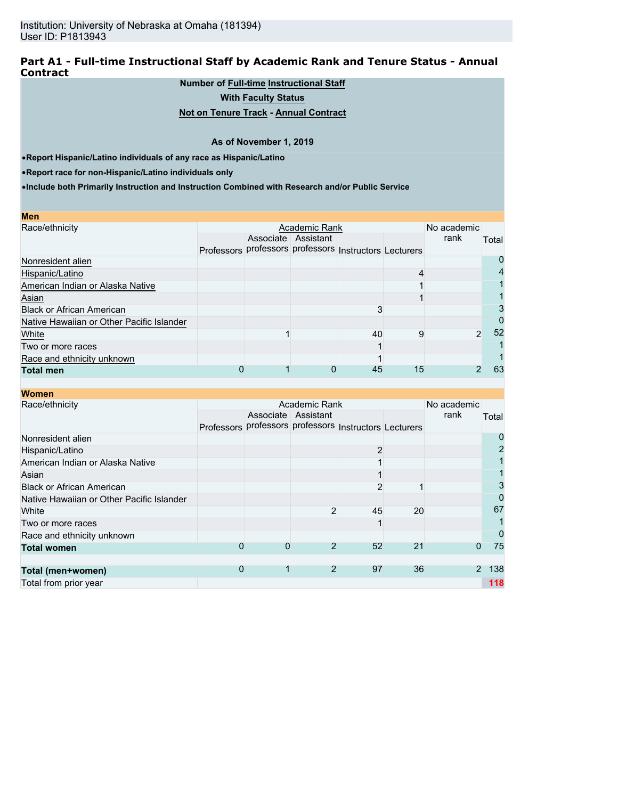### **Part A1 - Full-time Instructional Staff by Academic Rank and Tenure Status - Annual Contract**

## **Number of Full-time Instructional Staff**

**With Faculty Status**

## **Not on Tenure Track - Annual Contract**

#### **As of November 1, 2019**

•**Report Hispanic/Latino individuals of any race as Hispanic/Latino**

•**Report race for non-Hispanic/Latino individuals only**

| Men                                       |                   |                     |                                             |    |             |       |
|-------------------------------------------|-------------------|---------------------|---------------------------------------------|----|-------------|-------|
| Race/ethnicity                            |                   | Academic Rank       |                                             |    | No academic |       |
|                                           |                   | Associate Assistant |                                             |    | rank        | Total |
|                                           | <b>Professors</b> |                     | professors professors Instructors Lecturers |    |             |       |
| Nonresident alien                         |                   |                     |                                             |    |             |       |
| Hispanic/Latino                           |                   |                     |                                             |    |             |       |
| American Indian or Alaska Native          |                   |                     |                                             |    |             |       |
| Asian                                     |                   |                     |                                             |    |             |       |
| <b>Black or African American</b>          |                   |                     |                                             |    |             |       |
| Native Hawaiian or Other Pacific Islander |                   |                     |                                             |    |             |       |
| White                                     |                   |                     | 40                                          | 9  | 2           | 52    |
| Two or more races                         |                   |                     |                                             |    |             |       |
| Race and ethnicity unknown                |                   |                     |                                             |    |             |       |
| <b>Total men</b>                          |                   |                     | 45                                          | 15 |             | 63    |

| <b>Women</b>                              |                                                        |                     |                |                |    |               |                |
|-------------------------------------------|--------------------------------------------------------|---------------------|----------------|----------------|----|---------------|----------------|
| Race/ethnicity                            |                                                        |                     | Academic Rank  |                |    | No academic   |                |
|                                           |                                                        | Associate Assistant |                |                |    | rank          | Total          |
|                                           | Professors professors professors Instructors Lecturers |                     |                |                |    |               |                |
| Nonresident alien                         |                                                        |                     |                |                |    |               | O              |
| Hispanic/Latino                           |                                                        |                     |                | 2              |    |               | $\overline{2}$ |
| American Indian or Alaska Native          |                                                        |                     |                |                |    |               |                |
| Asian                                     |                                                        |                     |                |                |    |               |                |
| <b>Black or African American</b>          |                                                        |                     |                | $\overline{2}$ |    |               | 3              |
| Native Hawaiian or Other Pacific Islander |                                                        |                     |                |                |    |               | 0              |
| White                                     |                                                        |                     | 2              | 45             | 20 |               | 67             |
| Two or more races                         |                                                        |                     |                |                |    |               |                |
| Race and ethnicity unknown                |                                                        |                     |                |                |    |               | 0              |
| <b>Total women</b>                        | 0                                                      | 0                   | $\overline{2}$ | 52             | 21 | 0             | 75             |
|                                           |                                                        |                     |                |                |    |               |                |
| Total (men+women)                         | 0                                                      |                     | $\overline{2}$ | 97             | 36 | $\mathcal{P}$ | 138            |
| Total from prior year                     |                                                        |                     |                |                |    |               | 118            |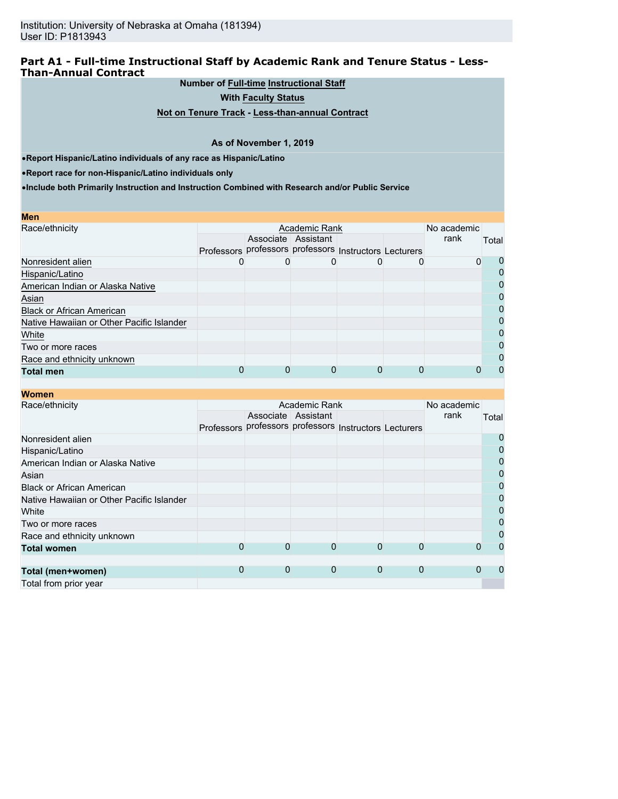## **Part A1 - Full-time Instructional Staff by Academic Rank and Tenure Status - Less-Than-Annual Contract**

**Number of Full-time Instructional Staff**

**With Faculty Status**

**Not on Tenure Track - Less-than-annual Contract**

#### **As of November 1, 2019**

•**Report Hispanic/Latino individuals of any race as Hispanic/Latino**

•**Report race for non-Hispanic/Latino individuals only**

| <b>Men</b>                                |                                                        |   |                     |   |             |              |
|-------------------------------------------|--------------------------------------------------------|---|---------------------|---|-------------|--------------|
| Race/ethnicity                            |                                                        |   | Academic Rank       |   | No academic |              |
|                                           |                                                        |   | Associate Assistant |   | rank        | Total        |
|                                           | Professors professors professors Instructors Lecturers |   |                     |   |             |              |
| Nonresident alien                         |                                                        |   |                     |   | 0           |              |
| Hispanic/Latino                           |                                                        |   |                     |   |             |              |
| American Indian or Alaska Native          |                                                        |   |                     |   |             |              |
| Asian                                     |                                                        |   |                     |   |             | O            |
| <b>Black or African American</b>          |                                                        |   |                     |   |             |              |
| Native Hawaiian or Other Pacific Islander |                                                        |   |                     |   |             | $\mathbf{I}$ |
| White                                     |                                                        |   |                     |   |             | O            |
| Two or more races                         |                                                        |   |                     |   |             |              |
| Race and ethnicity unknown                |                                                        |   |                     |   |             |              |
| <b>Total men</b>                          |                                                        | 0 |                     | O |             |              |

| <b>Women</b>                              |   |   |                                                        |   |             |             |       |
|-------------------------------------------|---|---|--------------------------------------------------------|---|-------------|-------------|-------|
| Race/ethnicity                            |   |   | Academic Rank                                          |   |             | No academic |       |
|                                           |   |   | Associate Assistant                                    |   |             | rank        | Total |
|                                           |   |   | Professors professors professors Instructors Lecturers |   |             |             |       |
| Nonresident alien                         |   |   |                                                        |   |             |             | 0     |
| Hispanic/Latino                           |   |   |                                                        |   |             |             | 0     |
| American Indian or Alaska Native          |   |   |                                                        |   |             |             | 0     |
| Asian                                     |   |   |                                                        |   |             |             | 0     |
| <b>Black or African American</b>          |   |   |                                                        |   |             |             | 0     |
| Native Hawaiian or Other Pacific Islander |   |   |                                                        |   |             |             | 0     |
| White                                     |   |   |                                                        |   |             |             | 0     |
| Two or more races                         |   |   |                                                        |   |             |             | 0     |
| Race and ethnicity unknown                |   |   |                                                        |   |             |             | 0     |
| <b>Total women</b>                        | 0 | 0 | 0                                                      | 0 | $\Omega$    | 0           | 0     |
|                                           |   |   |                                                        |   |             |             |       |
| Total (men+women)                         | 0 | 0 | $\mathbf 0$                                            | 0 | $\mathbf 0$ | 0           | O     |
| Total from prior year                     |   |   |                                                        |   |             |             |       |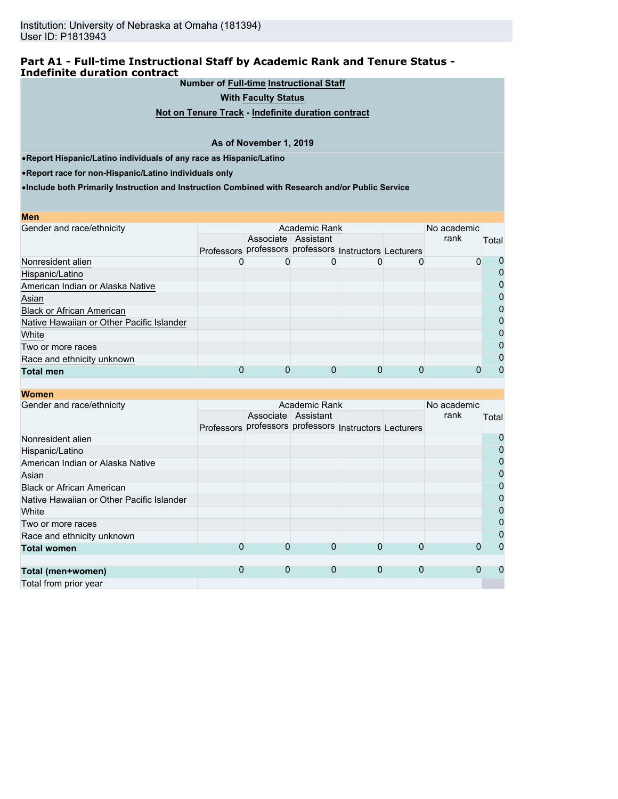## **Part A1 - Full-time Instructional Staff by Academic Rank and Tenure Status - Indefinite duration contract**

**Number of Full-time Instructional Staff**

**With Faculty Status**

**Not on Tenure Track - Indefinite duration contract**

#### **As of November 1, 2019**

•**Report Hispanic/Latino individuals of any race as Hispanic/Latino**

•**Report race for non-Hispanic/Latino individuals only**

|   |                     |               | rank | Total                                                                      |
|---|---------------------|---------------|------|----------------------------------------------------------------------------|
|   |                     |               |      |                                                                            |
|   |                     |               |      | U                                                                          |
|   |                     |               |      | $\Omega$                                                                   |
|   |                     |               |      | $\Omega$                                                                   |
|   |                     |               |      | 0                                                                          |
|   |                     |               |      | 0                                                                          |
|   |                     |               |      | 0                                                                          |
|   |                     |               |      | 0                                                                          |
|   |                     |               |      | $\Omega$                                                                   |
|   |                     |               |      | 0                                                                          |
| 0 |                     |               |      | $\Omega$                                                                   |
|   | Associate Assistant | Academic Rank | 0    | No academic<br>Professors professors professors Instructors Lecturers<br>0 |

| <b>Women</b>                              |   |               |                     |                                                        |             |      |                |
|-------------------------------------------|---|---------------|---------------------|--------------------------------------------------------|-------------|------|----------------|
| Gender and race/ethnicity                 |   | Academic Rank |                     |                                                        |             |      |                |
|                                           |   |               | Associate Assistant |                                                        |             | rank | Total          |
|                                           |   |               |                     | Professors professors professors Instructors Lecturers |             |      |                |
| Nonresident alien                         |   |               |                     |                                                        |             |      | $\overline{0}$ |
| Hispanic/Latino                           |   |               |                     |                                                        |             |      | 0              |
| American Indian or Alaska Native          |   |               |                     |                                                        |             |      | 0              |
| Asian                                     |   |               |                     |                                                        |             |      | $\mathbf{0}$   |
| <b>Black or African American</b>          |   |               |                     |                                                        |             |      | $\mathbf 0$    |
| Native Hawaiian or Other Pacific Islander |   |               |                     |                                                        |             |      | 0              |
| White                                     |   |               |                     |                                                        |             |      | 0              |
| Two or more races                         |   |               |                     |                                                        |             |      | 0              |
| Race and ethnicity unknown                |   |               |                     |                                                        |             |      | $\mathbf 0$    |
| <b>Total women</b>                        | 0 | $\Omega$      | $\Omega$            | $\Omega$                                               | $\Omega$    |      | 0              |
|                                           |   |               |                     |                                                        |             |      |                |
| Total (men+women)                         | 0 | $\mathbf{0}$  | $\overline{0}$      | $\overline{0}$                                         | $\mathbf 0$ |      | 0              |
| Total from prior year                     |   |               |                     |                                                        |             |      |                |
|                                           |   |               |                     |                                                        |             |      |                |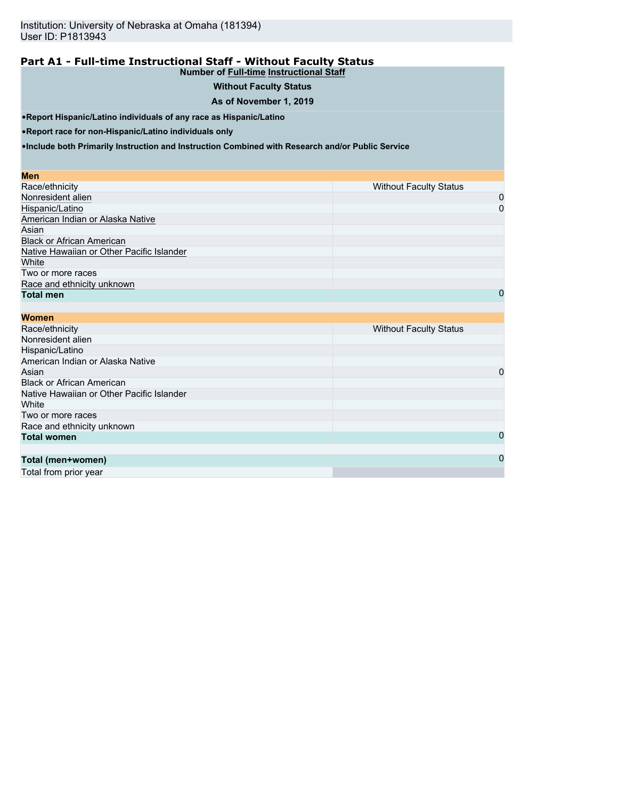# **Part A1 - Full-time Instructional Staff - Without Faculty Status**

## **Number of Full-time Instructional Staff Without Faculty Status**

# **As of November 1, 2019**

•**Report Hispanic/Latino individuals of any race as Hispanic/Latino**

•**Report race for non-Hispanic/Latino individuals only**

•**Include both Primarily Instruction and Instruction Combined with Research and/or Public Service**

#### **Men**

| Race/ethnicity                            | <b>Without Faculty Status</b> |
|-------------------------------------------|-------------------------------|
| Nonresident alien                         | 0                             |
| Hispanic/Latino                           | 0                             |
| American Indian or Alaska Native          |                               |
| Asian                                     |                               |
| <b>Black or African American</b>          |                               |
| Native Hawaiian or Other Pacific Islander |                               |
| White                                     |                               |
| Two or more races                         |                               |
| Race and ethnicity unknown                |                               |
| <b>Total men</b>                          | 0                             |

| <b>Women</b>                              |                               |
|-------------------------------------------|-------------------------------|
| Race/ethnicity                            | <b>Without Faculty Status</b> |
| Nonresident alien                         |                               |
| Hispanic/Latino                           |                               |
| American Indian or Alaska Native          |                               |
| Asian                                     | 0                             |
| <b>Black or African American</b>          |                               |
| Native Hawaiian or Other Pacific Islander |                               |
| White                                     |                               |
| Two or more races                         |                               |
| Race and ethnicity unknown                |                               |
| <b>Total women</b>                        | 0                             |
|                                           |                               |
| Total (men+women)                         | 0                             |
|                                           |                               |

Total from prior year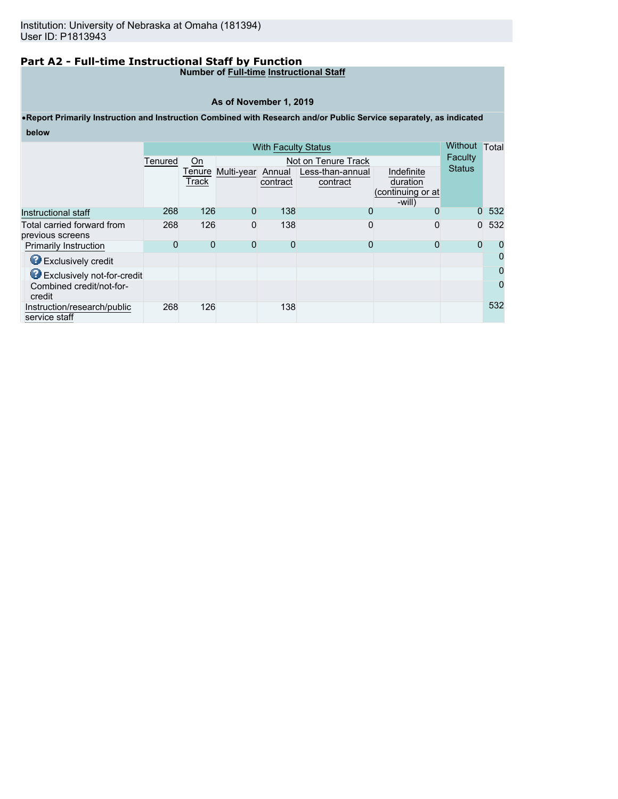# **Part A2 - Full-time Instructional Staff by Function**

#### **Number of Full-time Instructional Staff**

#### **As of November 1, 2019**

# •**Report Primarily Instruction and Instruction Combined with Research and/or Public Service separately, as indicated below**

|                                                |         | <b>With Faculty Status</b> |                   |          |                     |                             | <b>Without</b> | Total    |
|------------------------------------------------|---------|----------------------------|-------------------|----------|---------------------|-----------------------------|----------------|----------|
|                                                | Tenured | On                         |                   |          | Not on Tenure Track |                             | Faculty        |          |
|                                                |         | Tenure                     | Multi-year Annual |          | Less-than-annual    | Indefinite                  | <b>Status</b>  |          |
|                                                |         | Track                      |                   | contract | contract            | duration                    |                |          |
|                                                |         |                            |                   |          |                     | (continuing or at<br>-will) |                |          |
| Instructional staff                            | 268     | 126                        | 0                 | 138      | 0                   | 0                           | $\Omega$       | 532      |
| Total carried forward from<br>previous screens | 268     | 126                        | 0                 | 138      | 0                   | 0                           | $\mathbf{0}$   | 532      |
| <b>Primarily Instruction</b>                   | 0       | $\Omega$                   | 0                 | 0        | 0                   | 0                           | $\overline{0}$ | 0        |
| Exclusively credit                             |         |                            |                   |          |                     |                             |                | 0        |
| <b>B</b> Exclusively not-for-credit            |         |                            |                   |          |                     |                             |                | $\Omega$ |
| Combined credit/not-for-<br>credit             |         |                            |                   |          |                     |                             |                | $\Omega$ |
| Instruction/research/public<br>service staff   | 268     | 126                        |                   | 138      |                     |                             |                | 532      |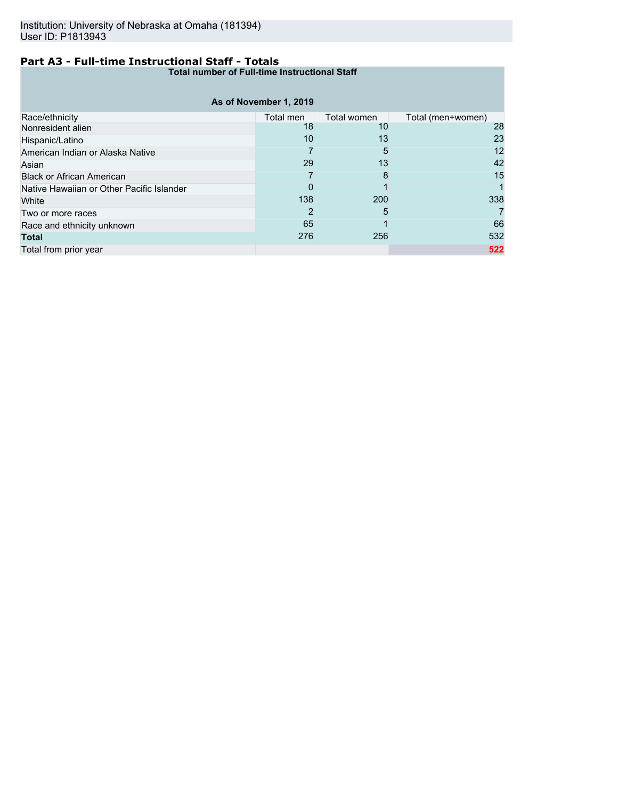# **Part A3 - Full-time Instructional Staff - Totals**

**Total number of Full-time Instructional Staff**

| As of November 1, 2019                    |           |             |                   |  |  |  |  |
|-------------------------------------------|-----------|-------------|-------------------|--|--|--|--|
| Race/ethnicity                            | Total men | Total women | Total (men+women) |  |  |  |  |
| Nonresident alien                         | 18        | 10          | 28                |  |  |  |  |
| Hispanic/Latino                           | 10        | 13          | 23                |  |  |  |  |
| American Indian or Alaska Native          |           | 5           | 12                |  |  |  |  |
| Asian                                     | 29        | 13          | 42                |  |  |  |  |
| <b>Black or African American</b>          |           | 8           | 15                |  |  |  |  |
| Native Hawaiian or Other Pacific Islander | 0         |             |                   |  |  |  |  |
| White                                     | 138       | 200         | 338               |  |  |  |  |
| Two or more races                         | 2         | 5           |                   |  |  |  |  |
| Race and ethnicity unknown                | 65        |             | 66                |  |  |  |  |
| <b>Total</b>                              | 276       | 256         | 532               |  |  |  |  |
| Total from prior year                     |           |             | 522               |  |  |  |  |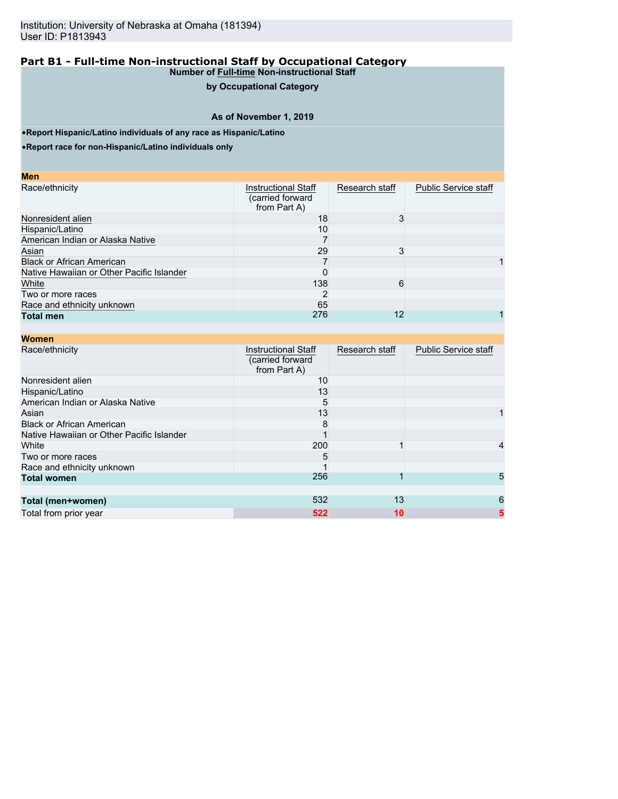#### **Part B1 - Full-time Non-instructional Staff by Occupational Category Number of Full-time Non-instructional Staff**

# **by Occupational Category**

## **As of November 1, 2019**

•**Report Hispanic/Latino individuals of any race as Hispanic/Latino**

•**Report race for non-Hispanic/Latino individuals only**

| M<br>ο | I |
|--------|---|
|        |   |

| Race/ethnicity                            | Instructional Staff<br>(carried forward<br>from Part A) | Research staff | <b>Public Service staff</b> |
|-------------------------------------------|---------------------------------------------------------|----------------|-----------------------------|
| Nonresident alien                         | 18                                                      |                |                             |
| Hispanic/Latino                           | 10                                                      |                |                             |
| American Indian or Alaska Native          |                                                         |                |                             |
| Asian                                     | 29                                                      |                |                             |
| <b>Black or African American</b>          |                                                         |                |                             |
| Native Hawaiian or Other Pacific Islander |                                                         |                |                             |
| White                                     | 138                                                     | 6              |                             |
| Two or more races                         |                                                         |                |                             |
| Race and ethnicity unknown                | 65                                                      |                |                             |
| <b>Total men</b>                          | 276                                                     | 12             |                             |

| <b>Women</b>                              |                                                                |                |                             |
|-------------------------------------------|----------------------------------------------------------------|----------------|-----------------------------|
| Race/ethnicity                            | <b>Instructional Staff</b><br>(carried forward<br>from Part A) | Research staff | <b>Public Service staff</b> |
| Nonresident alien                         | 10                                                             |                |                             |
| Hispanic/Latino                           | 13                                                             |                |                             |
| American Indian or Alaska Native          | 5                                                              |                |                             |
| Asian                                     | 13                                                             |                |                             |
| <b>Black or African American</b>          | 8                                                              |                |                             |
| Native Hawaiian or Other Pacific Islander |                                                                |                |                             |
| White                                     | 200                                                            |                | 4                           |
| Two or more races                         | 5                                                              |                |                             |
| Race and ethnicity unknown                |                                                                |                |                             |
| <b>Total women</b>                        | 256                                                            |                | 5                           |
|                                           |                                                                |                |                             |
| Total (men+women)                         | 532                                                            | 13             | 6                           |
| Total from prior year                     | 522                                                            | 10             | 5                           |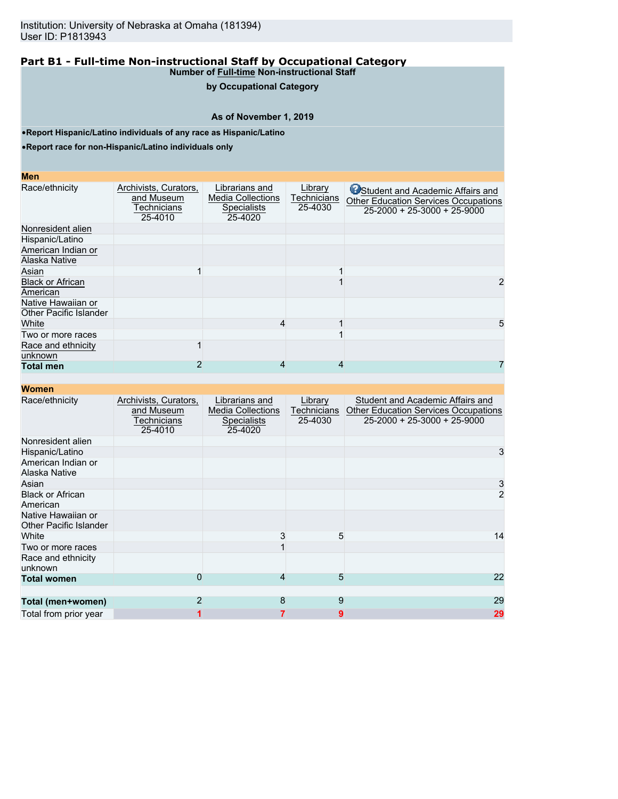#### **Part B1 - Full-time Non-instructional Staff by Occupational Category Number of Full-time Non-instructional Staff**

# **by Occupational Category**

## **As of November 1, 2019**

•**Report Hispanic/Latino individuals of any race as Hispanic/Latino**

•**Report race for non-Hispanic/Latino individuals only**

#### **Men**

| Race/ethnicity                                      | Archivists, Curators,<br>and Museum<br>Technicians<br>25-4010 | Librarians and<br><b>Media Collections</b><br><b>Specialists</b><br>25-4020 | Library<br>Technicians<br>25-4030 | Student and Academic Affairs and<br><b>Other Education Services Occupations</b><br>$25-2000 + 25-3000 + 25-9000$ |
|-----------------------------------------------------|---------------------------------------------------------------|-----------------------------------------------------------------------------|-----------------------------------|------------------------------------------------------------------------------------------------------------------|
| Nonresident alien                                   |                                                               |                                                                             |                                   |                                                                                                                  |
| Hispanic/Latino                                     |                                                               |                                                                             |                                   |                                                                                                                  |
| American Indian or                                  |                                                               |                                                                             |                                   |                                                                                                                  |
| Alaska Native                                       |                                                               |                                                                             |                                   |                                                                                                                  |
| Asian                                               |                                                               |                                                                             |                                   |                                                                                                                  |
| <b>Black or African</b><br>American                 |                                                               |                                                                             |                                   |                                                                                                                  |
| Native Hawaiian or<br><b>Other Pacific Islander</b> |                                                               |                                                                             |                                   |                                                                                                                  |
| White                                               |                                                               | 4                                                                           |                                   |                                                                                                                  |
| Two or more races                                   |                                                               |                                                                             |                                   |                                                                                                                  |
| Race and ethnicity<br>unknown                       |                                                               |                                                                             |                                   |                                                                                                                  |
| <b>Total men</b>                                    |                                                               |                                                                             | 4                                 |                                                                                                                  |

| <b>Women</b>                                        |                                                               |                                                                             |                                   |                                                                                                                        |
|-----------------------------------------------------|---------------------------------------------------------------|-----------------------------------------------------------------------------|-----------------------------------|------------------------------------------------------------------------------------------------------------------------|
| Race/ethnicity                                      | Archivists, Curators,<br>and Museum<br>Technicians<br>25-4010 | Librarians and<br><b>Media Collections</b><br><b>Specialists</b><br>25-4020 | Library<br>Technicians<br>25-4030 | Student and Academic Affairs and<br><b>Other Education Services Occupations</b><br>$25 - 2000 + 25 - 3000 + 25 - 9000$ |
| Nonresident alien                                   |                                                               |                                                                             |                                   |                                                                                                                        |
| Hispanic/Latino                                     |                                                               |                                                                             |                                   | 3                                                                                                                      |
| American Indian or<br>Alaska Native                 |                                                               |                                                                             |                                   |                                                                                                                        |
| Asian                                               |                                                               |                                                                             |                                   | 3                                                                                                                      |
| <b>Black or African</b><br>American                 |                                                               |                                                                             |                                   | $\overline{2}$                                                                                                         |
| Native Hawaiian or<br><b>Other Pacific Islander</b> |                                                               |                                                                             |                                   |                                                                                                                        |
| White                                               |                                                               | 3                                                                           | 5                                 | 14                                                                                                                     |
| Two or more races                                   |                                                               |                                                                             |                                   |                                                                                                                        |
| Race and ethnicity<br>unknown                       |                                                               |                                                                             |                                   |                                                                                                                        |
| <b>Total women</b>                                  | 0                                                             | 4                                                                           | 5                                 | 22                                                                                                                     |
| Total (men+women)                                   | $\overline{2}$                                                | 8                                                                           | 9                                 | 29                                                                                                                     |
| Total from prior year                               | 1                                                             | 7                                                                           | 9                                 | 29                                                                                                                     |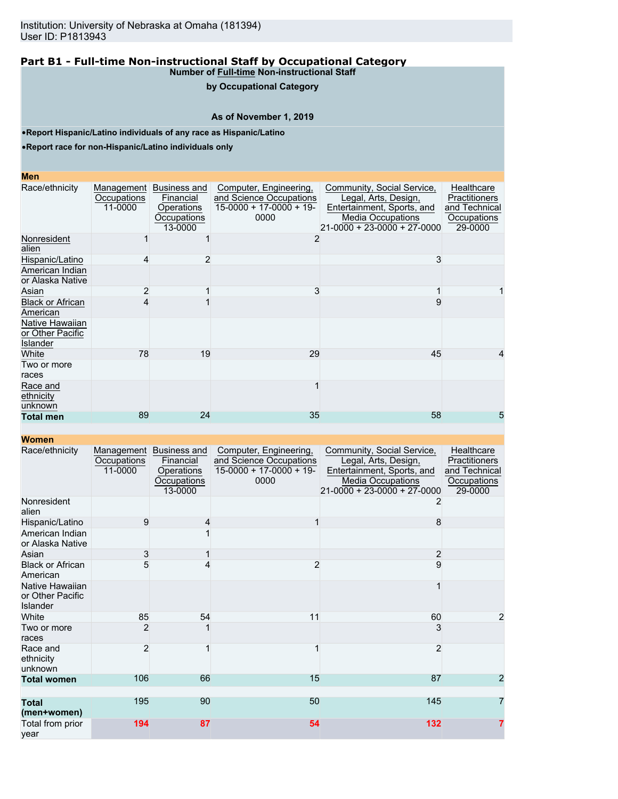#### **Part B1 - Full-time Non-instructional Staff by Occupational Category Number of Full-time Non-instructional Staff**

# **by Occupational Category**

## **As of November 1, 2019**

•**Report Hispanic/Latino individuals of any race as Hispanic/Latino**

•**Report race for non-Hispanic/Latino individuals only**

#### **Men**

| Race/ethnicity                                  | Management<br>Occupations<br>11-0000 | Business and<br>Financial<br>Operations<br>Occupations<br>13-0000 | Computer, Engineering,<br>and Science Occupations<br>$15-0000 + 17-0000 + 19$<br>0000 | Community, Social Service,<br>Legal, Arts, Design,<br>Entertainment, Sports, and<br><b>Media Occupations</b><br>$21-0000 + 23-0000 + 27-0000$ | Healthcare<br>Practitioners<br>and Technical<br>Occupations<br>29-0000 |
|-------------------------------------------------|--------------------------------------|-------------------------------------------------------------------|---------------------------------------------------------------------------------------|-----------------------------------------------------------------------------------------------------------------------------------------------|------------------------------------------------------------------------|
| Nonresident<br>alien                            |                                      |                                                                   |                                                                                       |                                                                                                                                               |                                                                        |
| Hispanic/Latino                                 | 4                                    |                                                                   |                                                                                       | 3                                                                                                                                             |                                                                        |
| American Indian<br>or Alaska Native             |                                      |                                                                   |                                                                                       |                                                                                                                                               |                                                                        |
| Asian                                           | 2                                    |                                                                   | 3                                                                                     |                                                                                                                                               |                                                                        |
| <b>Black or African</b><br>American             |                                      |                                                                   |                                                                                       |                                                                                                                                               |                                                                        |
| Native Hawaiian<br>or Other Pacific<br>Islander |                                      |                                                                   |                                                                                       |                                                                                                                                               |                                                                        |
| White                                           | 78                                   | 19                                                                | 29                                                                                    | 45                                                                                                                                            | 4                                                                      |
| Two or more<br>races                            |                                      |                                                                   |                                                                                       |                                                                                                                                               |                                                                        |
| Race and<br>ethnicity<br>unknown                |                                      |                                                                   |                                                                                       |                                                                                                                                               |                                                                        |
| <b>Total men</b>                                | 89                                   | 24                                                                | 35                                                                                    | 58                                                                                                                                            | 5                                                                      |

| Race/ethnicity                                         | Occupations<br>11-0000 | Management Business and<br>Financial<br><b>Operations</b><br>Occupations<br>13-0000 | Computer, Engineering,<br>and Science Occupations<br>$15-0000 + 17-0000 + 19$<br>0000 | Community, Social Service,<br>Legal, Arts, Design,<br>Entertainment, Sports, and<br><b>Media Occupations</b><br>21-0000 + 23-0000 + 27-0000 | Healthcare<br><b>Practitioners</b><br>and Technical<br>Occupations<br>29-0000 |
|--------------------------------------------------------|------------------------|-------------------------------------------------------------------------------------|---------------------------------------------------------------------------------------|---------------------------------------------------------------------------------------------------------------------------------------------|-------------------------------------------------------------------------------|
| Nonresident<br>alien                                   |                        |                                                                                     |                                                                                       |                                                                                                                                             |                                                                               |
| Hispanic/Latino<br>American Indian<br>or Alaska Native | 9                      | 4                                                                                   |                                                                                       | 8                                                                                                                                           |                                                                               |
| Asian                                                  | 3                      |                                                                                     |                                                                                       | $\overline{c}$                                                                                                                              |                                                                               |
| <b>Black or African</b><br>American                    | 5                      |                                                                                     | $\overline{2}$                                                                        | 9                                                                                                                                           |                                                                               |
| Native Hawaiian<br>or Other Pacific<br>Islander        |                        |                                                                                     |                                                                                       |                                                                                                                                             |                                                                               |
| White                                                  | 85                     | 54                                                                                  | 11                                                                                    | 60                                                                                                                                          | 2                                                                             |
| Two or more<br>races                                   | $\overline{2}$         |                                                                                     |                                                                                       | 3                                                                                                                                           |                                                                               |
| Race and<br>ethnicity<br>unknown                       | $\overline{2}$         |                                                                                     |                                                                                       | $\overline{2}$                                                                                                                              |                                                                               |
| <b>Total women</b>                                     | 106                    | 66                                                                                  | 15                                                                                    | 87                                                                                                                                          | 2                                                                             |
| <b>Total</b><br>(men+women)                            | 195                    | 90                                                                                  | 50                                                                                    | 145                                                                                                                                         | 7                                                                             |
| Total from prior<br>year                               | 194                    | 87                                                                                  | 54                                                                                    | 132                                                                                                                                         | 7                                                                             |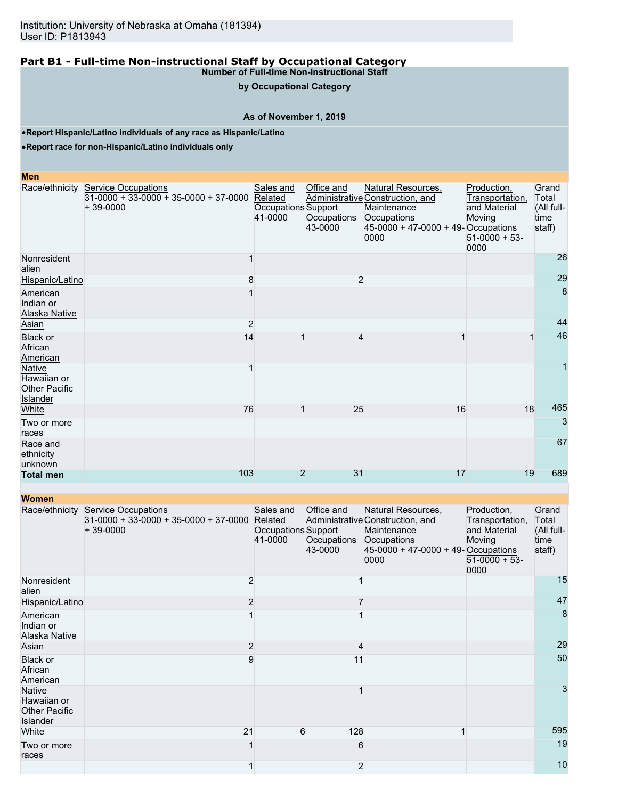# **Part B1 - Full-time Non-instructional Staff by Occupational Category**

**Number of Full-time Non-instructional Staff by Occupational Category**

#### **As of November 1, 2019**

•**Report Hispanic/Latino individuals of any race as Hispanic/Latino**

•**Report race for non-Hispanic/Latino individuals only**

#### **Men**

|                                                           | Race/ethnicity Service Occupations<br>$31-0000 + 33-0000 + 35-0000 + 37-0000$<br>$+39-0000$ | Sales and<br>Related<br>Occupations Support<br>41-0000 | Office and<br>Occupations<br>43-0000 | Natural Resources,<br>Administrative Construction, and<br>Maintenance<br>Occupations<br>45-0000 + 47-0000 + 49- Occupations<br>0000 | Production,<br>Transportation,<br>and Material<br>Moving<br>$51-0000 + 53$ -<br>0000 | Grand<br>Total<br>(All full-<br>time<br>staff) |
|-----------------------------------------------------------|---------------------------------------------------------------------------------------------|--------------------------------------------------------|--------------------------------------|-------------------------------------------------------------------------------------------------------------------------------------|--------------------------------------------------------------------------------------|------------------------------------------------|
| Nonresident<br>alien                                      |                                                                                             |                                                        |                                      |                                                                                                                                     |                                                                                      | 26                                             |
| Hispanic/Latino                                           | 8                                                                                           |                                                        | $\overline{2}$                       |                                                                                                                                     |                                                                                      | 29                                             |
| American<br>Indian or<br>Alaska Native                    |                                                                                             |                                                        |                                      |                                                                                                                                     |                                                                                      | 8                                              |
| Asian                                                     | $\overline{2}$                                                                              |                                                        |                                      |                                                                                                                                     |                                                                                      | 44                                             |
| <b>Black or</b><br>African<br>American                    | 14                                                                                          |                                                        | 4                                    |                                                                                                                                     |                                                                                      | 46                                             |
| Native<br>Hawaiian or<br><b>Other Pacific</b><br>Islander |                                                                                             |                                                        |                                      |                                                                                                                                     |                                                                                      |                                                |
| White                                                     | 76                                                                                          |                                                        | 25                                   | 16                                                                                                                                  | 18                                                                                   | 465                                            |
| Two or more<br>races                                      |                                                                                             |                                                        |                                      |                                                                                                                                     |                                                                                      | 3                                              |
| Race and<br>ethnicity<br>unknown                          |                                                                                             |                                                        |                                      |                                                                                                                                     |                                                                                      | 67                                             |
| <b>Total men</b>                                          | 103                                                                                         | $\overline{2}$                                         | 31                                   | 17                                                                                                                                  | 19                                                                                   | 689                                            |

| <b>Women</b>                                                     |                                                                                     |                                                        |                                      |                                                                                                                                       |                                                                                    |                                                |
|------------------------------------------------------------------|-------------------------------------------------------------------------------------|--------------------------------------------------------|--------------------------------------|---------------------------------------------------------------------------------------------------------------------------------------|------------------------------------------------------------------------------------|------------------------------------------------|
| Race/ethnicity                                                   | <b>Service Occupations</b><br>$31-0000 + 33-0000 + 35-0000 + 37-0000$<br>$+39-0000$ | Sales and<br>Related<br>Occupations Support<br>41-0000 | Office and<br>Occupations<br>43-0000 | Natural Resources,<br>Administrative Construction, and<br>Maintenance<br>Occupations<br>$45-0000 + 47-0000 + 49$ -Occupations<br>0000 | Production,<br>Transportation,<br>and Material<br>Moving<br>$51-0000 + 53$<br>0000 | Grand<br>Total<br>(All full-<br>time<br>staff) |
| Nonresident<br>alien                                             | 2                                                                                   |                                                        |                                      |                                                                                                                                       |                                                                                    | 15                                             |
| Hispanic/Latino                                                  | 2                                                                                   |                                                        |                                      |                                                                                                                                       |                                                                                    | 47                                             |
| American<br>Indian or<br>Alaska Native                           |                                                                                     |                                                        |                                      |                                                                                                                                       |                                                                                    | 8                                              |
| Asian                                                            | $\overline{2}$                                                                      |                                                        | 4                                    |                                                                                                                                       |                                                                                    | 29                                             |
| <b>Black or</b><br>African<br>American                           | 9                                                                                   |                                                        | 11                                   |                                                                                                                                       |                                                                                    | 50                                             |
| Native<br>Hawaiian or<br><b>Other Pacific</b><br><b>Islander</b> |                                                                                     |                                                        |                                      |                                                                                                                                       |                                                                                    | 3                                              |
| White                                                            | 21                                                                                  | 6                                                      | 128                                  |                                                                                                                                       |                                                                                    | 595                                            |
| Two or more<br>races                                             |                                                                                     |                                                        | 6                                    |                                                                                                                                       |                                                                                    | 19                                             |
|                                                                  |                                                                                     |                                                        | $\overline{c}$                       |                                                                                                                                       |                                                                                    | 10                                             |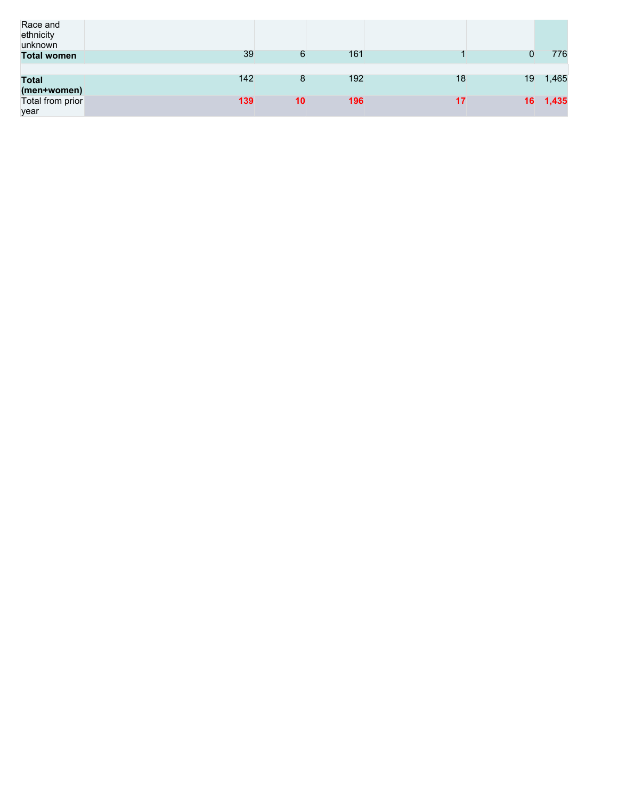| Race and<br>ethnicity<br>unknown |     |    |     |    |    |       |
|----------------------------------|-----|----|-----|----|----|-------|
| <b>Total women</b>               | 39  | 6  | 161 |    | 0  | 776   |
|                                  |     |    |     |    |    |       |
| <b>Total</b>                     | 142 | 8  | 192 | 18 | 19 | 1,465 |
| (men+women)                      |     |    |     |    |    |       |
| Total from prior                 | 139 | 10 | 196 | 17 | 16 | 1,435 |
| year                             |     |    |     |    |    |       |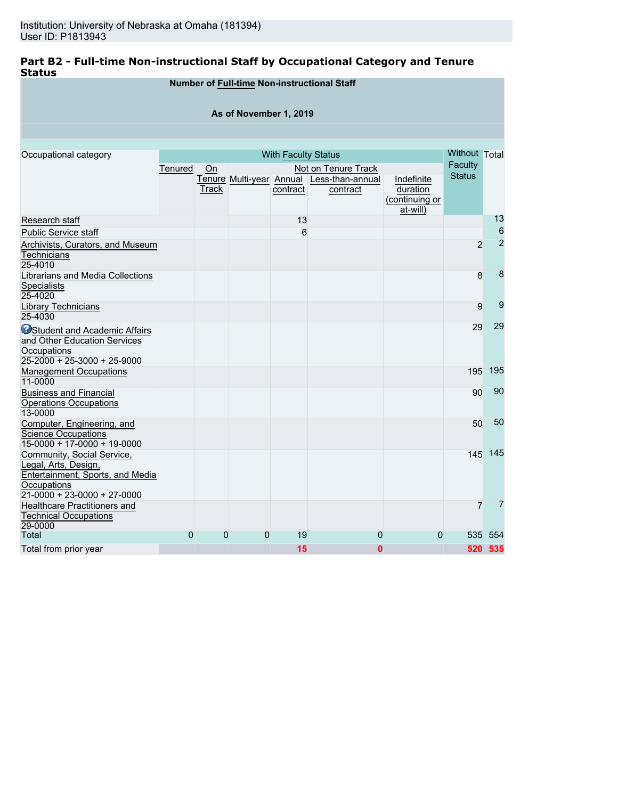# **Part B2 - Full-time Non-instructional Staff by Occupational Category and Tenure Status**

# **Number of Full-time Non-instructional Staff**

## **As of November 1, 2019**

| Occupational category                |                |                |                | <b>With Faculty Status</b> |                                                       |                        | Without Total |                |
|--------------------------------------|----------------|----------------|----------------|----------------------------|-------------------------------------------------------|------------------------|---------------|----------------|
|                                      | Tenured        | On             |                |                            | Not on Tenure Track                                   |                        | Faculty       |                |
|                                      |                |                |                |                            |                                                       |                        | <b>Status</b> |                |
|                                      |                | Track          |                | contract                   | Tenure Multi-year Annual Less-than-annual<br>contract | Indefinite<br>duration |               |                |
|                                      |                |                |                |                            |                                                       | (continuing or         |               |                |
|                                      |                |                |                |                            |                                                       | at-will)               |               |                |
| Research staff                       |                |                |                | 13                         |                                                       |                        |               | 13             |
| <b>Public Service staff</b>          |                |                |                | 6                          |                                                       |                        |               | 6              |
| Archivists, Curators, and Museum     |                |                |                |                            |                                                       |                        | 2             | $\overline{2}$ |
| Technicians                          |                |                |                |                            |                                                       |                        |               |                |
| 25-4010                              |                |                |                |                            |                                                       |                        |               |                |
| Librarians and Media Collections     |                |                |                |                            |                                                       |                        | 8             | 8              |
| Specialists                          |                |                |                |                            |                                                       |                        |               |                |
| 25-4020                              |                |                |                |                            |                                                       |                        |               |                |
| Library Technicians                  |                |                |                |                            |                                                       |                        | 9             | 9              |
| 25-4030                              |                |                |                |                            |                                                       |                        |               |                |
| <b>OStudent and Academic Affairs</b> |                |                |                |                            |                                                       |                        | 29            | 29             |
| and Other Education Services         |                |                |                |                            |                                                       |                        |               |                |
| Occupations                          |                |                |                |                            |                                                       |                        |               |                |
| 25-2000 + 25-3000 + 25-9000          |                |                |                |                            |                                                       |                        |               |                |
| <b>Management Occupations</b>        |                |                |                |                            |                                                       |                        | 195           | 195            |
| 11-0000                              |                |                |                |                            |                                                       |                        |               |                |
| <b>Business and Financial</b>        |                |                |                |                            |                                                       |                        | 90            | 90             |
| <b>Operations Occupations</b>        |                |                |                |                            |                                                       |                        |               |                |
| 13-0000                              |                |                |                |                            |                                                       |                        |               |                |
| Computer, Engineering, and           |                |                |                |                            |                                                       |                        | 50            | 50             |
| Science Occupations                  |                |                |                |                            |                                                       |                        |               |                |
| $15-0000 + 17-0000 + 19-0000$        |                |                |                |                            |                                                       |                        |               |                |
| Community, Social Service,           |                |                |                |                            |                                                       |                        | 145           | 145            |
| Legal, Arts, Design,                 |                |                |                |                            |                                                       |                        |               |                |
| Entertainment, Sports, and Media     |                |                |                |                            |                                                       |                        |               |                |
| Occupations                          |                |                |                |                            |                                                       |                        |               |                |
| $21-0000 + 23-0000 + 27-0000$        |                |                |                |                            |                                                       |                        |               |                |
| <b>Healthcare Practitioners and</b>  |                |                |                |                            |                                                       |                        | 7             | 7              |
| <b>Technical Occupations</b>         |                |                |                |                            |                                                       |                        |               |                |
| 29-0000                              |                |                |                |                            |                                                       |                        |               |                |
| <b>Total</b>                         | $\overline{0}$ | $\overline{0}$ | $\overline{0}$ | 19                         | 0                                                     | $\Omega$               | 535           | 554            |
| Total from prior year                |                |                |                | 15                         | $\bf{0}$                                              |                        |               | 520 535        |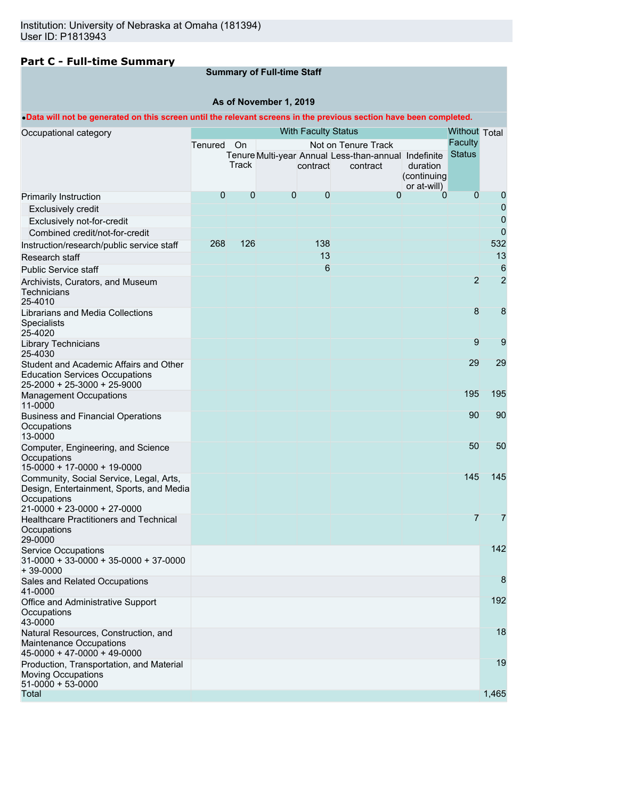# **Part C - Full-time Summary**

# **Summary of Full-time Staff**

## **As of November 1, 2019**

## •**Data will not be generated on this screen until the relevant screens in the previous section have been completed.**

| Occupational category                                                                                                             |                |              |   | <b>With Faculty Status</b> |                                                      |                         | Without Total  |                |
|-----------------------------------------------------------------------------------------------------------------------------------|----------------|--------------|---|----------------------------|------------------------------------------------------|-------------------------|----------------|----------------|
|                                                                                                                                   | Tenured On     |              |   |                            | Not on Tenure Track                                  |                         | <b>Faculty</b> |                |
|                                                                                                                                   |                |              |   |                            | Tenure Multi-year Annual Less-than-annual Indefinite |                         | <b>Status</b>  |                |
|                                                                                                                                   |                | <b>Track</b> |   | contract                   | contract                                             | duration<br>(continuing |                |                |
|                                                                                                                                   |                |              |   |                            |                                                      | or at-will)             |                |                |
| <b>Primarily Instruction</b>                                                                                                      | $\overline{0}$ | $\mathbf 0$  | 0 | $\mathbf{0}$               | $\mathbf{0}$                                         | 0                       | $\overline{0}$ | $\mathbf 0$    |
| <b>Exclusively credit</b>                                                                                                         |                |              |   |                            |                                                      |                         |                | $\mathbf 0$    |
| Exclusively not-for-credit                                                                                                        |                |              |   |                            |                                                      |                         |                | $\mathbf 0$    |
| Combined credit/not-for-credit                                                                                                    |                |              |   |                            |                                                      |                         |                | $\overline{0}$ |
| Instruction/research/public service staff                                                                                         | 268            | 126          |   | 138                        |                                                      |                         |                | 532            |
| Research staff                                                                                                                    |                |              |   | 13                         |                                                      |                         |                | 13             |
| <b>Public Service staff</b>                                                                                                       |                |              |   | 6                          |                                                      |                         |                | 6              |
| Archivists, Curators, and Museum<br>Technicians<br>25-4010                                                                        |                |              |   |                            |                                                      |                         | $\overline{2}$ | $\overline{2}$ |
| Librarians and Media Collections<br>Specialists<br>25-4020                                                                        |                |              |   |                            |                                                      |                         | 8              | 8              |
| <b>Library Technicians</b><br>25-4030                                                                                             |                |              |   |                            |                                                      |                         | 9              | 9              |
| Student and Academic Affairs and Other<br><b>Education Services Occupations</b>                                                   |                |              |   |                            |                                                      |                         | 29             | 29             |
| 25-2000 + 25-3000 + 25-9000                                                                                                       |                |              |   |                            |                                                      |                         |                |                |
| <b>Management Occupations</b><br>11-0000                                                                                          |                |              |   |                            |                                                      |                         | 195            | 195            |
| <b>Business and Financial Operations</b><br>Occupations<br>13-0000                                                                |                |              |   |                            |                                                      |                         | 90             | 90             |
| Computer, Engineering, and Science<br>Occupations<br>15-0000 + 17-0000 + 19-0000                                                  |                |              |   |                            |                                                      |                         | 50             | 50             |
| Community, Social Service, Legal, Arts,<br>Design, Entertainment, Sports, and Media<br>Occupations<br>21-0000 + 23-0000 + 27-0000 |                |              |   |                            |                                                      |                         | 145            | 145            |
| <b>Healthcare Practitioners and Technical</b><br>Occupations<br>29-0000                                                           |                |              |   |                            |                                                      |                         | $\overline{7}$ | 7              |
| <b>Service Occupations</b><br>$31-0000 + 33-0000 + 35-0000 + 37-0000$<br>$+39-0000$                                               |                |              |   |                            |                                                      |                         |                | 142            |
| Sales and Related Occupations<br>41-0000                                                                                          |                |              |   |                            |                                                      |                         |                | 8              |
| Office and Administrative Support<br>Occupations<br>43-0000                                                                       |                |              |   |                            |                                                      |                         |                | 192            |
| Natural Resources, Construction, and<br>Maintenance Occupations<br>$45-0000 + 47-0000 + 49-0000$                                  |                |              |   |                            |                                                      |                         |                | 18             |
| Production, Transportation, and Material<br><b>Moving Occupations</b><br>$51-0000 + 53-0000$                                      |                |              |   |                            |                                                      |                         |                | 19             |
| Total                                                                                                                             |                |              |   |                            |                                                      |                         |                | 1,465          |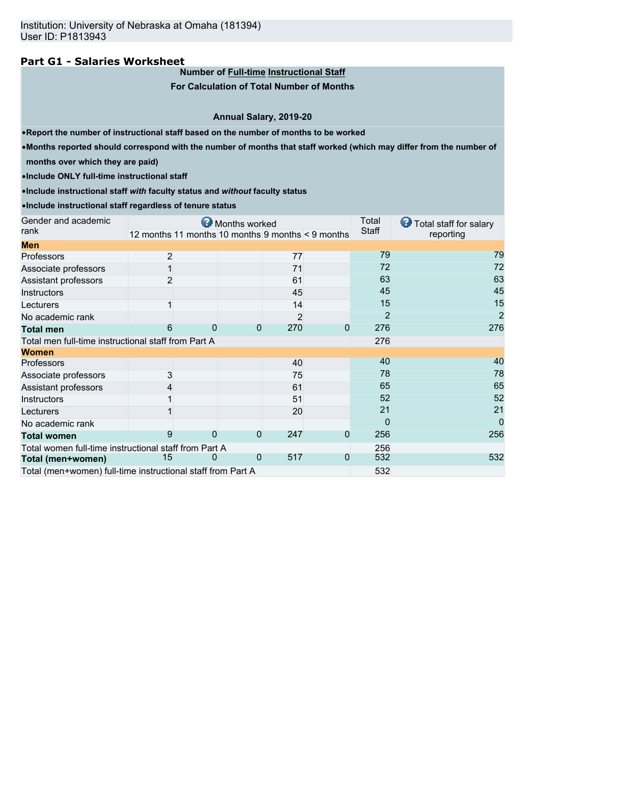## **Part G1 - Salaries Worksheet**

# **Number of Full-time Instructional Staff**

**For Calculation of Total Number of Months**

#### **Annual Salary, 2019-20**

•**Report the number of instructional staff based on the number of months to be worked**

•**Months reported should correspond with the number of months that staff worked (which may differ from the number of**

**months over which they are paid)**

•**Include ONLY full-time instructional staff**

•**Include instructional staff** *with* **faculty status and** *without* **faculty status**

#### •**Include instructional staff regardless of tenure status**

| Gender and academic                                         |                |   | Months worked |                 |                                                   | Total          | ⊌<br>Total staff for salary |
|-------------------------------------------------------------|----------------|---|---------------|-----------------|---------------------------------------------------|----------------|-----------------------------|
| rank                                                        |                |   |               |                 | 12 months 11 months 10 months 9 months < 9 months | Staff          | reporting                   |
| <b>Men</b>                                                  |                |   |               |                 |                                                   |                |                             |
| Professors                                                  | $\overline{2}$ |   |               | 77              |                                                   | 79             | 79                          |
| Associate professors                                        |                |   |               | 71              |                                                   | 72             | 72                          |
| Assistant professors                                        |                |   |               | 61              |                                                   | 63             | 63                          |
| Instructors                                                 |                |   |               | 45              |                                                   | 45             | 45                          |
| Lecturers                                                   |                |   |               | 14              |                                                   | 15             | 15                          |
| No academic rank                                            |                |   |               |                 |                                                   | $\overline{2}$ | $\overline{2}$              |
| <b>Total men</b>                                            | 6              |   |               | 270<br>0        | 0                                                 | 276            | 276                         |
| Total men full-time instructional staff from Part A         |                |   |               |                 |                                                   | 276            |                             |
| <b>Women</b>                                                |                |   |               |                 |                                                   |                |                             |
| <b>Professors</b>                                           |                |   |               | 40              |                                                   | 40             | 40                          |
| Associate professors                                        | 3              |   |               | 75              |                                                   | 78             | 78                          |
| Assistant professors                                        |                |   |               | 61              |                                                   | 65             | 65                          |
| Instructors                                                 |                |   |               | 51              |                                                   | 52             | 52                          |
| Lecturers                                                   |                |   |               | 20              |                                                   | 21             | 21                          |
| No academic rank                                            |                |   |               |                 |                                                   | $\Omega$       | 0                           |
| <b>Total women</b>                                          | 9              |   |               | 247<br>$\Omega$ | 0                                                 | 256            | 256                         |
| Total women full-time instructional staff from Part A       |                |   |               |                 |                                                   | 256            |                             |
| Total (men+women)                                           | 15             | 0 |               | 517<br>0        | 0                                                 | 532            | 532                         |
| Total (men+women) full-time instructional staff from Part A |                |   |               |                 |                                                   | 532            |                             |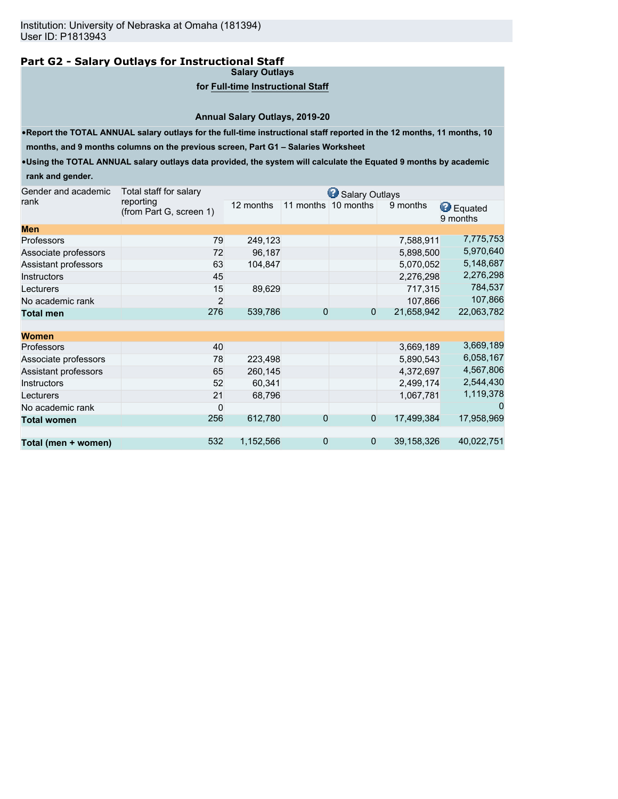# **Part G2 - Salary Outlays for Instructional Staff**

**Salary Outlays**

## **for Full-time Instructional Staff**

**Annual Salary Outlays, 2019-20**

•**Report the TOTAL ANNUAL salary outlays for the full-time instructional staff reported in the 12 months, 11 months, 10**

**months, and 9 months columns on the previous screen, Part G1 – Salaries Worksheet**

•**Using the TOTAL ANNUAL salary outlays data provided, the system will calculate the Equated 9 months by academic rank and gender.**

| Gender and academic  | Total staff for salary               |           |                | Salary Outlays |            |                              |
|----------------------|--------------------------------------|-----------|----------------|----------------|------------|------------------------------|
| rank                 | reporting<br>(from Part G, screen 1) | 12 months | 11 months      | 10 months      | 9 months   | <b>B</b> Equated<br>9 months |
| <b>Men</b>           |                                      |           |                |                |            |                              |
| Professors           | 79                                   | 249,123   |                |                | 7,588,911  | 7,775,753                    |
| Associate professors | 72                                   | 96,187    |                |                | 5,898,500  | 5,970,640                    |
| Assistant professors | 63                                   | 104,847   |                |                | 5,070,052  | 5,148,687                    |
| <b>Instructors</b>   | 45                                   |           |                |                | 2,276,298  | 2,276,298                    |
| Lecturers            | 15                                   | 89,629    |                |                | 717,315    | 784,537                      |
| No academic rank     | 2                                    |           |                |                | 107,866    | 107,866                      |
| <b>Total men</b>     | 276                                  | 539,786   | 0              | 0              | 21,658,942 | 22,063,782                   |
| <b>Women</b>         |                                      |           |                |                |            |                              |
| Professors           | 40                                   |           |                |                | 3,669,189  | 3,669,189                    |
| Associate professors | 78                                   | 223,498   |                |                | 5,890,543  | 6,058,167                    |
| Assistant professors | 65                                   | 260,145   |                |                | 4,372,697  | 4,567,806                    |
| <b>Instructors</b>   | 52                                   | 60,341    |                |                | 2,499,174  | 2,544,430                    |
| Lecturers            | 21                                   | 68,796    |                |                | 1,067,781  | 1,119,378                    |
| No academic rank     | $\mathbf 0$                          |           |                |                |            |                              |
| <b>Total women</b>   | 256                                  | 612,780   | 0              | $\overline{0}$ | 17,499,384 | 17,958,969                   |
| Total (men + women)  | 532                                  | 1,152,566 | $\overline{0}$ | $\overline{0}$ | 39,158,326 | 40,022,751                   |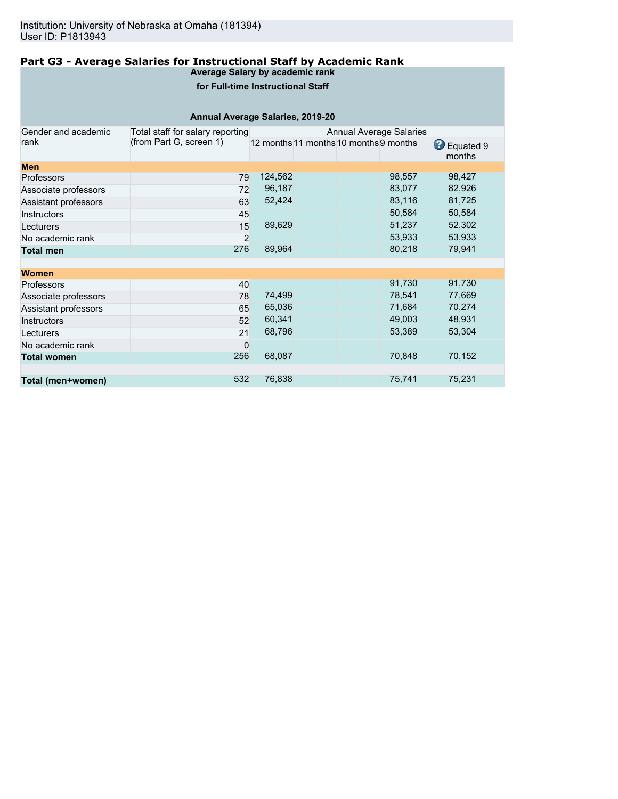#### **Part G3 - Average Salaries for Instructional Staff by Academic Rank Average Salary by academic rank**

# **for Full-time Instructional Staff**

|                      | Annual Average Salaries, 2019-20 |                                        |                                |        |                     |
|----------------------|----------------------------------|----------------------------------------|--------------------------------|--------|---------------------|
| Gender and academic  | Total staff for salary reporting |                                        | <b>Annual Average Salaries</b> |        |                     |
| rank                 | (from Part G, screen 1)          | 12 months 11 months 10 months 9 months |                                |        | Equated 9<br>months |
| <b>Men</b>           |                                  |                                        |                                |        |                     |
| <b>Professors</b>    | 79                               | 124,562                                |                                | 98,557 | 98,427              |
| Associate professors | 72                               | 96,187                                 |                                | 83,077 | 82,926              |
| Assistant professors | 63                               | 52,424                                 |                                | 83,116 | 81,725              |
| Instructors          | 45                               |                                        |                                | 50,584 | 50,584              |
| Lecturers            | 15                               | 89,629                                 |                                | 51,237 | 52,302              |
| No academic rank     | 2                                |                                        |                                | 53,933 | 53,933              |
| <b>Total men</b>     | 276                              | 89,964                                 |                                | 80,218 | 79,941              |
| <b>Women</b>         |                                  |                                        |                                |        |                     |
| <b>Professors</b>    | 40                               |                                        |                                | 91,730 | 91,730              |
| Associate professors | 78                               | 74,499                                 |                                | 78,541 | 77,669              |
| Assistant professors | 65                               | 65,036                                 |                                | 71,684 | 70,274              |
| <b>Instructors</b>   | 52                               | 60,341                                 |                                | 49,003 | 48,931              |
| Lecturers            | 21                               | 68,796                                 |                                | 53,389 | 53,304              |
| No academic rank     | 0                                |                                        |                                |        |                     |
| <b>Total women</b>   | 256                              | 68,087                                 |                                | 70,848 | 70,152              |
|                      |                                  |                                        |                                |        |                     |
| Total (men+women)    | 532                              | 76,838                                 |                                | 75,741 | 75,231              |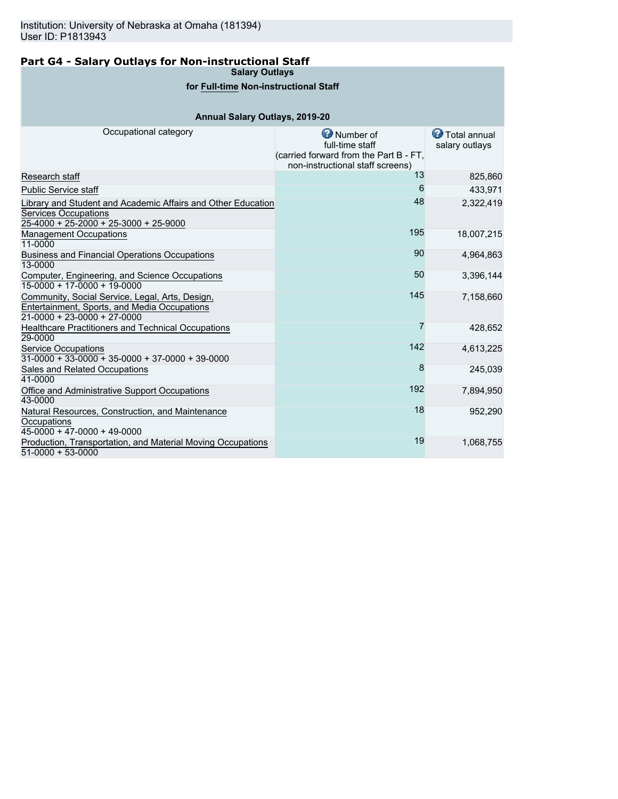# **Part G4 - Salary Outlays for Non-instructional Staff**

**Salary Outlays**

# **for Full-time Non-instructional Staff**

# **Annual Salary Outlays, 2019-20**

| Occupational category                                                                                                            | <b>O</b> Number of<br>full-time staff<br>(carried forward from the Part B - FT,<br>non-instructional staff screens) | <b>T</b> otal annual<br>salary outlays |
|----------------------------------------------------------------------------------------------------------------------------------|---------------------------------------------------------------------------------------------------------------------|----------------------------------------|
| Research staff                                                                                                                   | 13                                                                                                                  | 825,860                                |
| <b>Public Service staff</b>                                                                                                      | 6                                                                                                                   | 433,971                                |
| Library and Student and Academic Affairs and Other Education<br>Services Occupations<br>25-4000 + 25-2000 + 25-3000 + 25-9000    | 48                                                                                                                  | 2,322,419                              |
| <b>Management Occupations</b><br>11-0000                                                                                         | 195                                                                                                                 | 18,007,215                             |
| <b>Business and Financial Operations Occupations</b><br>13-0000                                                                  | 90                                                                                                                  | 4,964,863                              |
| Computer, Engineering, and Science Occupations<br>$15-0000 + 17-0000 + 19-0000$                                                  | 50                                                                                                                  | 3,396,144                              |
| Community, Social Service, Legal, Arts, Design,<br>Entertainment, Sports, and Media Occupations<br>$21-0000 + 23-0000 + 27-0000$ | 145                                                                                                                 | 7,158,660                              |
| Healthcare Practitioners and Technical Occupations<br>29-0000                                                                    | 7                                                                                                                   | 428,652                                |
| <b>Service Occupations</b><br>$31-0000 + 33-0000 + 35-0000 + 37-0000 + 39-0000$                                                  | 142                                                                                                                 | 4,613,225                              |
| Sales and Related Occupations<br>41-0000                                                                                         | 8                                                                                                                   | 245,039                                |
| Office and Administrative Support Occupations<br>43-0000                                                                         | 192                                                                                                                 | 7,894,950                              |
| Natural Resources, Construction, and Maintenance<br>Occupations<br>$45-0000 + 47-0000 + 49-0000$                                 | 18                                                                                                                  | 952,290                                |
| Production, Transportation, and Material Moving Occupations<br>$51-0000 + 53-0000$                                               | 19                                                                                                                  | 1,068,755                              |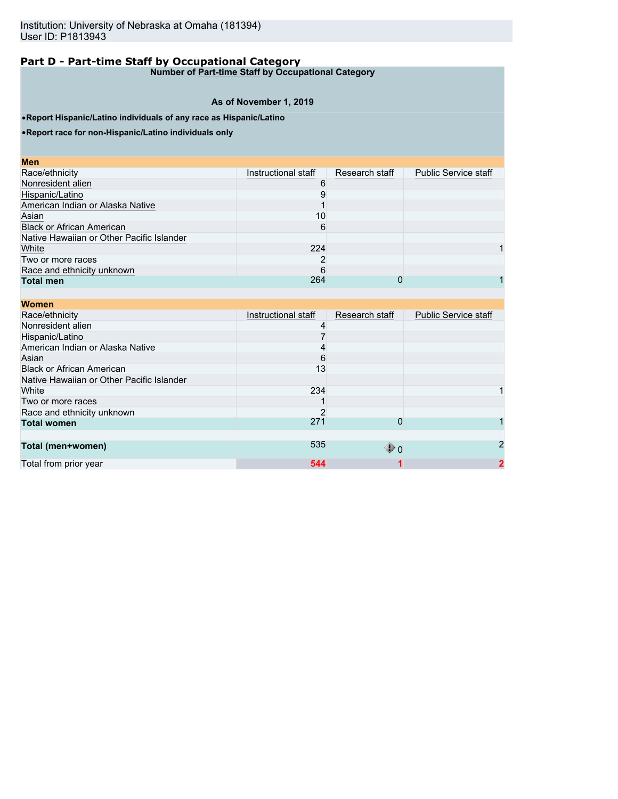**Number of Part-time Staff by Occupational Category**

## **As of November 1, 2019**

•**Report Hispanic/Latino individuals of any race as Hispanic/Latino**

•**Report race for non-Hispanic/Latino individuals only**

| <b>Men</b>                                |                     |                |                             |
|-------------------------------------------|---------------------|----------------|-----------------------------|
| Race/ethnicity                            | Instructional staff | Research staff | <b>Public Service staff</b> |
| Nonresident alien                         |                     |                |                             |
| Hispanic/Latino                           |                     |                |                             |
| American Indian or Alaska Native          |                     |                |                             |
| Asian                                     | 10                  |                |                             |
| <b>Black or African American</b>          | 6                   |                |                             |
| Native Hawaiian or Other Pacific Islander |                     |                |                             |
| White                                     | 224                 |                |                             |
| Two or more races                         |                     |                |                             |
| Race and ethnicity unknown                | 6                   |                |                             |
| <b>Total men</b>                          | 264                 |                |                             |

| <b>Women</b>                              |                     |                   |                             |
|-------------------------------------------|---------------------|-------------------|-----------------------------|
| Race/ethnicity                            | Instructional staff | Research staff    | <b>Public Service staff</b> |
| Nonresident alien                         |                     |                   |                             |
| Hispanic/Latino                           |                     |                   |                             |
| American Indian or Alaska Native          |                     |                   |                             |
| Asian                                     | 6                   |                   |                             |
| <b>Black or African American</b>          | 13                  |                   |                             |
| Native Hawaiian or Other Pacific Islander |                     |                   |                             |
| White                                     | 234                 |                   |                             |
| Two or more races                         |                     |                   |                             |
| Race and ethnicity unknown                |                     |                   |                             |
| <b>Total women</b>                        | 271                 | 0                 |                             |
|                                           |                     |                   |                             |
| Total (men+women)                         | 535                 | $\mathbf{\Psi}$ 0 | 2                           |
| Total from prior year                     | 544                 |                   | $\mathbf 2$                 |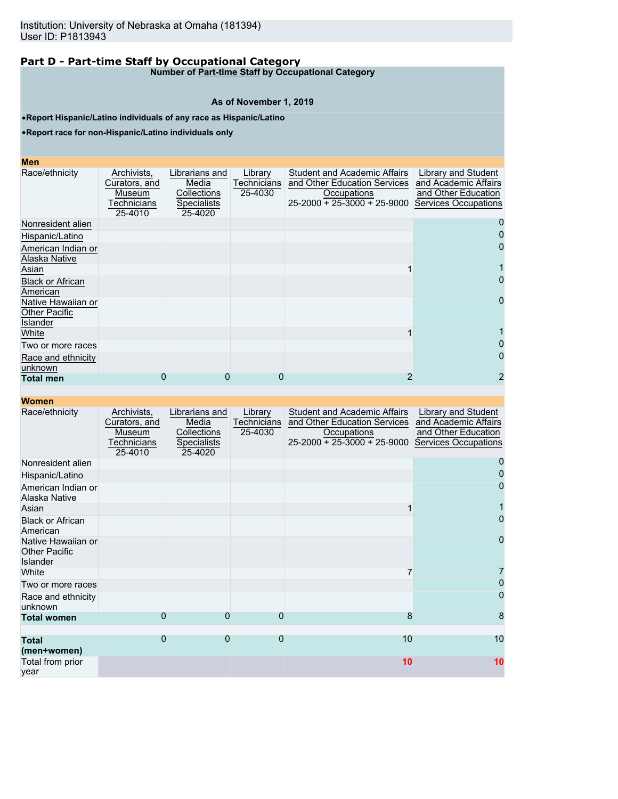**Number of Part-time Staff by Occupational Category**

#### **As of November 1, 2019**

•**Report Hispanic/Latino individuals of any race as Hispanic/Latino**

•**Report race for non-Hispanic/Latino individuals only**

| <b>CONTRACTOR</b><br>۰.<br>and the state of the state of the state of the state of the state of the state of the state of the state of th<br>$\mathcal{L}^{\text{max}}_{\text{max}}$ and $\mathcal{L}^{\text{max}}_{\text{max}}$ and $\mathcal{L}^{\text{max}}_{\text{max}}$<br>$\mathcal{L}^{\text{max}}_{\text{max}}$ and $\mathcal{L}^{\text{max}}_{\text{max}}$ and $\mathcal{L}^{\text{max}}_{\text{max}}$ and $\mathcal{L}^{\text{max}}_{\text{max}}$ |
|-------------------------------------------------------------------------------------------------------------------------------------------------------------------------------------------------------------------------------------------------------------------------------------------------------------------------------------------------------------------------------------------------------------------------------------------------------------|
|-------------------------------------------------------------------------------------------------------------------------------------------------------------------------------------------------------------------------------------------------------------------------------------------------------------------------------------------------------------------------------------------------------------------------------------------------------------|

| Race/ethnicity                                                | Archivists.<br>Curators, and<br>Museum<br>Technicians<br>25-4010 | Librarians and<br>Media<br>Collections<br><b>Specialists</b><br>25-4020 | Library<br><b>Technicians</b><br>25-4030 | <b>Student and Academic Affairs</b><br>and Other Education Services<br>Occupations<br>$25-2000 + 25-3000 + 25-9000$ | Library and Student<br>and Academic Affairs<br>and Other Education<br>Services Occupations |
|---------------------------------------------------------------|------------------------------------------------------------------|-------------------------------------------------------------------------|------------------------------------------|---------------------------------------------------------------------------------------------------------------------|--------------------------------------------------------------------------------------------|
| Nonresident alien                                             |                                                                  |                                                                         |                                          |                                                                                                                     |                                                                                            |
| Hispanic/Latino                                               |                                                                  |                                                                         |                                          |                                                                                                                     |                                                                                            |
| American Indian or<br>Alaska Native                           |                                                                  |                                                                         |                                          |                                                                                                                     | 0                                                                                          |
| Asian                                                         |                                                                  |                                                                         |                                          |                                                                                                                     |                                                                                            |
| <b>Black or African</b><br>American                           |                                                                  |                                                                         |                                          |                                                                                                                     |                                                                                            |
| Native Hawaiian or<br><b>Other Pacific</b><br><b>Islander</b> |                                                                  |                                                                         |                                          |                                                                                                                     | 0                                                                                          |
| White                                                         |                                                                  |                                                                         |                                          |                                                                                                                     |                                                                                            |
| Two or more races                                             |                                                                  |                                                                         |                                          |                                                                                                                     |                                                                                            |
| Race and ethnicity<br>unknown                                 |                                                                  |                                                                         |                                          |                                                                                                                     | $\Omega$                                                                                   |
| <b>Total men</b>                                              | O                                                                | O                                                                       | 0                                        |                                                                                                                     | 2                                                                                          |

| Women |  |
|-------|--|
|-------|--|

| $\bf v\bf v\bf v\bf m\bf v\bf n$                              |                                                                  |                                                                         |                                   |                                                                                                                     |                                                                                                   |
|---------------------------------------------------------------|------------------------------------------------------------------|-------------------------------------------------------------------------|-----------------------------------|---------------------------------------------------------------------------------------------------------------------|---------------------------------------------------------------------------------------------------|
| Race/ethnicity                                                | Archivists,<br>Curators, and<br>Museum<br>Technicians<br>25-4010 | Librarians and<br>Media<br>Collections<br><b>Specialists</b><br>25-4020 | Library<br>Technicians<br>25-4030 | <b>Student and Academic Affairs</b><br>and Other Education Services<br>Occupations<br>$25-2000 + 25-3000 + 25-9000$ | Library and Student<br>and Academic Affairs<br>and Other Education<br><b>Services Occupations</b> |
| Nonresident alien                                             |                                                                  |                                                                         |                                   |                                                                                                                     |                                                                                                   |
| Hispanic/Latino                                               |                                                                  |                                                                         |                                   |                                                                                                                     |                                                                                                   |
| American Indian or<br>Alaska Native                           |                                                                  |                                                                         |                                   |                                                                                                                     |                                                                                                   |
| Asian                                                         |                                                                  |                                                                         |                                   |                                                                                                                     |                                                                                                   |
| <b>Black or African</b><br>American                           |                                                                  |                                                                         |                                   |                                                                                                                     |                                                                                                   |
| Native Hawaiian or<br><b>Other Pacific</b><br><b>Islander</b> |                                                                  |                                                                         |                                   |                                                                                                                     | 0                                                                                                 |
| White                                                         |                                                                  |                                                                         |                                   | 7                                                                                                                   |                                                                                                   |
| Two or more races                                             |                                                                  |                                                                         |                                   |                                                                                                                     | $\mathbf{I}$                                                                                      |
| Race and ethnicity<br>unknown                                 |                                                                  |                                                                         |                                   |                                                                                                                     | 0                                                                                                 |
| <b>Total women</b>                                            | 0                                                                | 0                                                                       | $\overline{0}$                    | 8                                                                                                                   | 8                                                                                                 |
|                                                               |                                                                  |                                                                         |                                   |                                                                                                                     |                                                                                                   |
| <b>Total</b><br>(men+women)                                   | $\overline{0}$                                                   | $\Omega$                                                                | $\overline{0}$                    | 10                                                                                                                  | 10                                                                                                |
| Total from prior<br>vear                                      |                                                                  |                                                                         |                                   | 10                                                                                                                  | 10                                                                                                |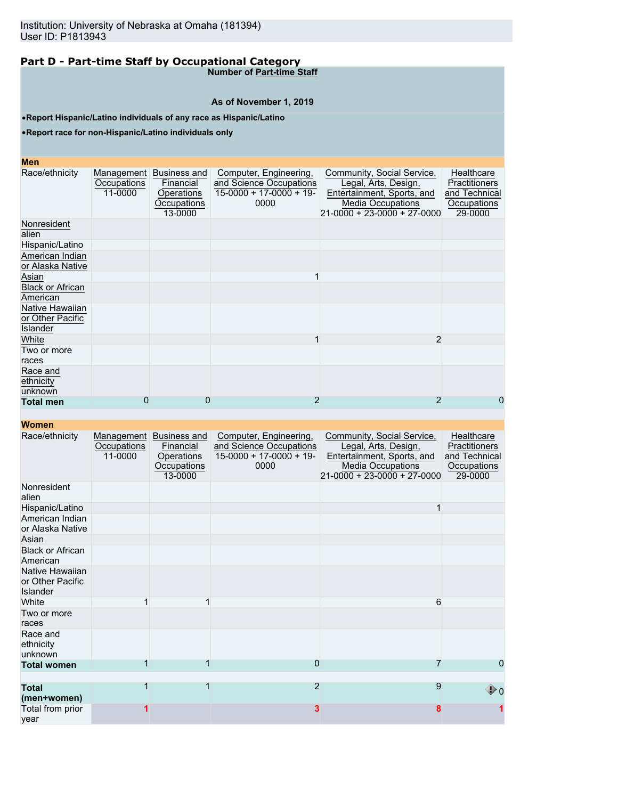**Number of Part-time Staff**

## **As of November 1, 2019**

•**Report Hispanic/Latino individuals of any race as Hispanic/Latino**

•**Report race for non-Hispanic/Latino individuals only**

## **Men**

| MCII                                                   |                                      |                                                                          |                                                                                       |                                                                                                                                      |                                                                        |
|--------------------------------------------------------|--------------------------------------|--------------------------------------------------------------------------|---------------------------------------------------------------------------------------|--------------------------------------------------------------------------------------------------------------------------------------|------------------------------------------------------------------------|
| Race/ethnicity                                         | Management<br>Occupations<br>11-0000 | <b>Business and</b><br>Financial<br>Operations<br>Occupations<br>13-0000 | Computer, Engineering,<br>and Science Occupations<br>$15-0000 + 17-0000 + 19$<br>0000 | Community, Social Service,<br>Legal, Arts, Design,<br>Entertainment, Sports, and<br>Media Occupations<br>21-0000 + 23-0000 + 27-0000 | Healthcare<br>Practitioners<br>and Technical<br>Occupations<br>29-0000 |
| Nonresident<br>alien                                   |                                      |                                                                          |                                                                                       |                                                                                                                                      |                                                                        |
| Hispanic/Latino                                        |                                      |                                                                          |                                                                                       |                                                                                                                                      |                                                                        |
| American Indian<br>or Alaska Native                    |                                      |                                                                          |                                                                                       |                                                                                                                                      |                                                                        |
| Asian                                                  |                                      |                                                                          |                                                                                       |                                                                                                                                      |                                                                        |
| <b>Black or African</b><br>American                    |                                      |                                                                          |                                                                                       |                                                                                                                                      |                                                                        |
| Native Hawaiian<br>or Other Pacific<br><b>Islander</b> |                                      |                                                                          |                                                                                       |                                                                                                                                      |                                                                        |
| White                                                  |                                      |                                                                          |                                                                                       | $\overline{2}$                                                                                                                       |                                                                        |
| Two or more<br>races                                   |                                      |                                                                          |                                                                                       |                                                                                                                                      |                                                                        |
| Race and<br>ethnicity<br>unknown                       |                                      |                                                                          |                                                                                       |                                                                                                                                      |                                                                        |
| <b>Total men</b>                                       | 0                                    | 0                                                                        | 2                                                                                     | $\overline{2}$                                                                                                                       | 0                                                                      |
|                                                        |                                      |                                                                          |                                                                                       |                                                                                                                                      |                                                                        |

| Race/ethnicity                                  | Management<br>Occupations<br>11-0000 | Business and<br>Financial<br>Operations<br><b>Occupations</b><br>13-0000 | Computer, Engineering,<br>and Science Occupations<br>$15-0000 + 17-0000 + 19$<br>0000 | Community, Social Service,<br>Legal, Arts, Design,<br>Entertainment, Sports, and<br><b>Media Occupations</b><br>$21 - 0000 + 23 - 0000 + 27 - 0000$ | Healthcare<br>Practitioners<br>and Technical<br>Occupations<br>29-0000 |
|-------------------------------------------------|--------------------------------------|--------------------------------------------------------------------------|---------------------------------------------------------------------------------------|-----------------------------------------------------------------------------------------------------------------------------------------------------|------------------------------------------------------------------------|
| Nonresident<br>alien                            |                                      |                                                                          |                                                                                       |                                                                                                                                                     |                                                                        |
| Hispanic/Latino                                 |                                      |                                                                          |                                                                                       |                                                                                                                                                     |                                                                        |
| American Indian<br>or Alaska Native             |                                      |                                                                          |                                                                                       |                                                                                                                                                     |                                                                        |
| Asian                                           |                                      |                                                                          |                                                                                       |                                                                                                                                                     |                                                                        |
| <b>Black or African</b><br>American             |                                      |                                                                          |                                                                                       |                                                                                                                                                     |                                                                        |
| Native Hawaiian<br>or Other Pacific<br>Islander |                                      |                                                                          |                                                                                       |                                                                                                                                                     |                                                                        |
| White                                           |                                      |                                                                          |                                                                                       | 6                                                                                                                                                   |                                                                        |
| Two or more<br>races                            |                                      |                                                                          |                                                                                       |                                                                                                                                                     |                                                                        |
| Race and<br>ethnicity<br>unknown                |                                      |                                                                          |                                                                                       |                                                                                                                                                     |                                                                        |
| <b>Total women</b>                              | 1                                    |                                                                          | 0                                                                                     |                                                                                                                                                     | 0                                                                      |
| <b>Total</b>                                    | 1                                    | 1                                                                        | $\overline{2}$                                                                        | 9                                                                                                                                                   |                                                                        |
| (men+women)                                     |                                      |                                                                          |                                                                                       |                                                                                                                                                     | ⊕ o                                                                    |
| Total from prior<br>vear                        |                                      |                                                                          | 3                                                                                     | 8                                                                                                                                                   |                                                                        |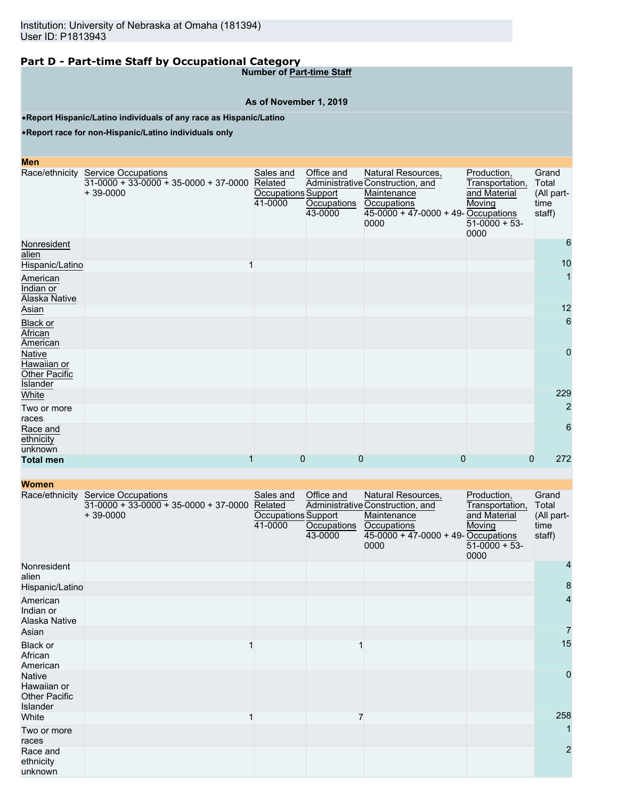**Number of Part-time Staff**

# **As of November 1, 2019**

•**Report Hispanic/Latino individuals of any race as Hispanic/Latino**

•**Report race for non-Hispanic/Latino individuals only**

| Men                                                              |                                                                                             |                                                        |                                      |                                                                                                                                              |                                                                                      |                                                |
|------------------------------------------------------------------|---------------------------------------------------------------------------------------------|--------------------------------------------------------|--------------------------------------|----------------------------------------------------------------------------------------------------------------------------------------------|--------------------------------------------------------------------------------------|------------------------------------------------|
|                                                                  | Race/ethnicity Service Occupations<br>$31-0000 + 33-0000 + 35-0000 + 37-0000$<br>$+39-0000$ | Sales and<br>Related<br>Occupations Support<br>41-0000 | Office and<br>Occupations<br>43-0000 | Natural Resources,<br>Administrative Construction, and<br>Maintenance<br><b>Occupations</b><br>$45-0000 + 47-0000 + 49$ -Occupations<br>0000 | Production,<br>Transportation,<br>and Material<br>Moving<br>$51-0000 + 53$ -<br>0000 | Grand<br>Total<br>(All part-<br>time<br>staff) |
| Nonresident<br>alien                                             |                                                                                             |                                                        |                                      |                                                                                                                                              |                                                                                      | 6                                              |
| Hispanic/Latino                                                  |                                                                                             |                                                        |                                      |                                                                                                                                              |                                                                                      | 10                                             |
| American<br>Indian or<br>Alaska Native                           |                                                                                             |                                                        |                                      |                                                                                                                                              |                                                                                      | 1                                              |
| Asian                                                            |                                                                                             |                                                        |                                      |                                                                                                                                              |                                                                                      | 12                                             |
| <b>Black or</b><br>African<br>American                           |                                                                                             |                                                        |                                      |                                                                                                                                              |                                                                                      | 6                                              |
| <b>Native</b><br>Hawaiian or<br><b>Other Pacific</b><br>Islander |                                                                                             |                                                        |                                      |                                                                                                                                              |                                                                                      | $\mathbf 0$                                    |
| White                                                            |                                                                                             |                                                        |                                      |                                                                                                                                              |                                                                                      | 229                                            |
| Two or more<br>races                                             |                                                                                             |                                                        |                                      |                                                                                                                                              |                                                                                      | $\overline{c}$                                 |
| Race and<br>ethnicity<br>unknown                                 |                                                                                             |                                                        |                                      |                                                                                                                                              |                                                                                      | 6                                              |
| <b>Total men</b>                                                 |                                                                                             | $\Omega$                                               | 0                                    | 0                                                                                                                                            | 0                                                                                    | 272                                            |

| <b>TYVIIIGH</b>                                                  |                                                                                             |                                                        |                                      |                                                                                                                                       |                                                                                    |                                                |
|------------------------------------------------------------------|---------------------------------------------------------------------------------------------|--------------------------------------------------------|--------------------------------------|---------------------------------------------------------------------------------------------------------------------------------------|------------------------------------------------------------------------------------|------------------------------------------------|
|                                                                  | Race/ethnicity Service Occupations<br>$31-0000 + 33-0000 + 35-0000 + 37-0000$<br>$+39-0000$ | Sales and<br>Related<br>Occupations Support<br>41-0000 | Office and<br>Occupations<br>43-0000 | Natural Resources,<br>Administrative Construction, and<br>Maintenance<br>Occupations<br>$45-0000 + 47-0000 + 49$ -Occupations<br>0000 | Production,<br>Transportation,<br>and Material<br>Moving<br>$51-0000 + 53$<br>0000 | Grand<br>Total<br>(All part-<br>time<br>staff) |
| Nonresident<br>alien                                             |                                                                                             |                                                        |                                      |                                                                                                                                       |                                                                                    | 4                                              |
| Hispanic/Latino                                                  |                                                                                             |                                                        |                                      |                                                                                                                                       |                                                                                    | 8                                              |
| American<br>Indian or<br>Alaska Native                           |                                                                                             |                                                        |                                      |                                                                                                                                       |                                                                                    | 4                                              |
| Asian                                                            |                                                                                             |                                                        |                                      |                                                                                                                                       |                                                                                    |                                                |
| Black or<br>African<br>American                                  |                                                                                             |                                                        |                                      |                                                                                                                                       |                                                                                    | 15                                             |
| <b>Native</b><br>Hawaiian or<br><b>Other Pacific</b><br>Islander |                                                                                             |                                                        |                                      |                                                                                                                                       |                                                                                    | $\mathbf 0$                                    |
| White                                                            |                                                                                             |                                                        | 7                                    |                                                                                                                                       |                                                                                    | 258                                            |
| Two or more<br>races                                             |                                                                                             |                                                        |                                      |                                                                                                                                       |                                                                                    |                                                |
| Race and<br>ethnicity<br>unknown                                 |                                                                                             |                                                        |                                      |                                                                                                                                       |                                                                                    | $\overline{2}$                                 |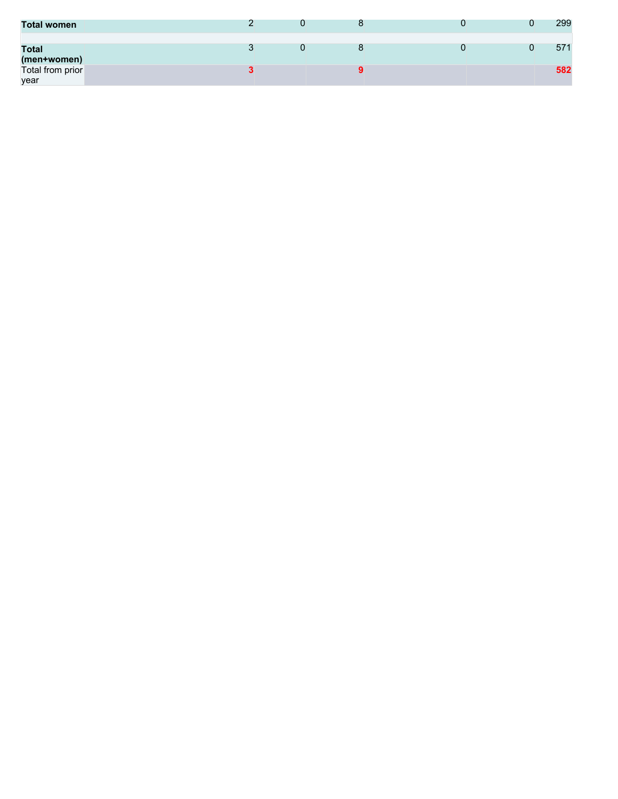| <b>Total women</b>          |  | O |  | 299 |
|-----------------------------|--|---|--|-----|
| <b>Total</b><br>(men+women) |  |   |  | 571 |
| Total from prior<br>year    |  |   |  | 582 |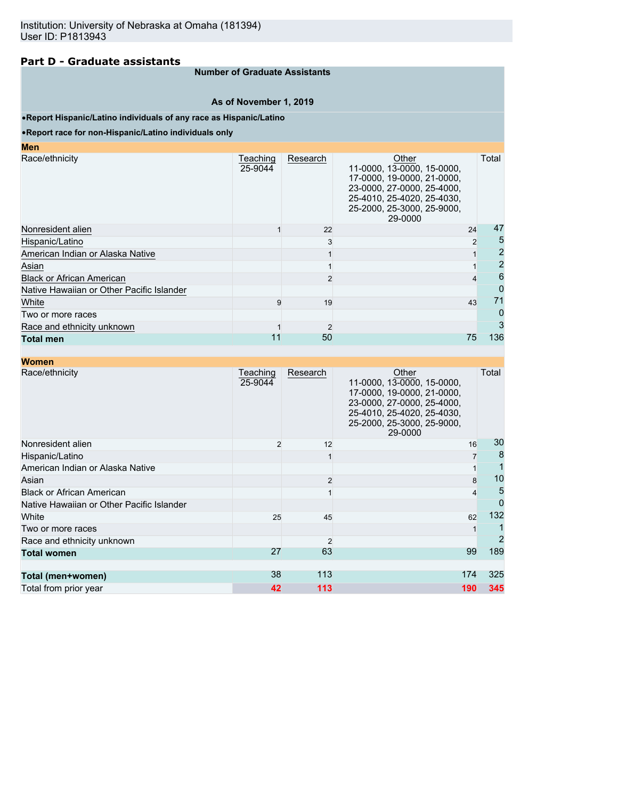## **Part D - Graduate assistants**

#### **Number of Graduate Assistants**

#### **As of November 1, 2019**

#### •**Report Hispanic/Latino individuals of any race as Hispanic/Latino**

#### •**Report race for non-Hispanic/Latino individuals only**

| <b>Men</b>                                |                     |          |                                                                                                                                                                        |                     |
|-------------------------------------------|---------------------|----------|------------------------------------------------------------------------------------------------------------------------------------------------------------------------|---------------------|
| Race/ethnicity                            | Teaching<br>25-9044 | Research | Other<br>11-0000, 13-0000, 15-0000,<br>17-0000, 19-0000, 21-0000,<br>23-0000, 27-0000, 25-4000,<br>25-4010, 25-4020, 25-4030,<br>25-2000, 25-3000, 25-9000,<br>29-0000 | Total               |
| Nonresident alien                         |                     | 22       | 24                                                                                                                                                                     | 47                  |
| Hispanic/Latino                           |                     |          |                                                                                                                                                                        | 5<br>$\overline{2}$ |
| American Indian or Alaska Native          |                     |          |                                                                                                                                                                        | $\overline{2}$      |
| Asian                                     |                     |          |                                                                                                                                                                        | $\overline{2}$      |
| <b>Black or African American</b>          |                     |          |                                                                                                                                                                        | 6                   |
| Native Hawaiian or Other Pacific Islander |                     |          |                                                                                                                                                                        | 0                   |
| White                                     | 9                   | 19       | 43                                                                                                                                                                     | 71                  |
| Two or more races                         |                     |          |                                                                                                                                                                        | 0                   |
| Race and ethnicity unknown                |                     |          |                                                                                                                                                                        | 3                   |
| <b>Total men</b>                          | 11                  | 50       | 75                                                                                                                                                                     | 136                 |

| <b>Women</b>                              |                     |                |                                                                                                                                                                        |          |
|-------------------------------------------|---------------------|----------------|------------------------------------------------------------------------------------------------------------------------------------------------------------------------|----------|
| Race/ethnicity                            | Teaching<br>25-9044 | Research       | Other<br>11-0000, 13-0000, 15-0000,<br>17-0000, 19-0000, 21-0000,<br>23-0000, 27-0000, 25-4000,<br>25-4010, 25-4020, 25-4030,<br>25-2000, 25-3000, 25-9000,<br>29-0000 | Total    |
| Nonresident alien                         | 2                   | 12             | 16                                                                                                                                                                     | 30       |
| Hispanic/Latino                           |                     |                |                                                                                                                                                                        | 8        |
| American Indian or Alaska Native          |                     |                |                                                                                                                                                                        |          |
| Asian                                     |                     | $\overline{2}$ |                                                                                                                                                                        | 10<br>8  |
| <b>Black or African American</b>          |                     |                |                                                                                                                                                                        | 5<br>4   |
| Native Hawaiian or Other Pacific Islander |                     |                |                                                                                                                                                                        | $\Omega$ |
| White                                     | 25                  | 45             | 62                                                                                                                                                                     | 132      |
| Two or more races                         |                     |                |                                                                                                                                                                        |          |
| Race and ethnicity unknown                |                     |                |                                                                                                                                                                        | 2        |
| <b>Total women</b>                        | 27                  | 63             | 99                                                                                                                                                                     | 189      |
| Total (men+women)                         | 38                  | 113            | 174                                                                                                                                                                    | 325      |
| Total from prior year                     | 42                  | 113            | 190                                                                                                                                                                    | 345      |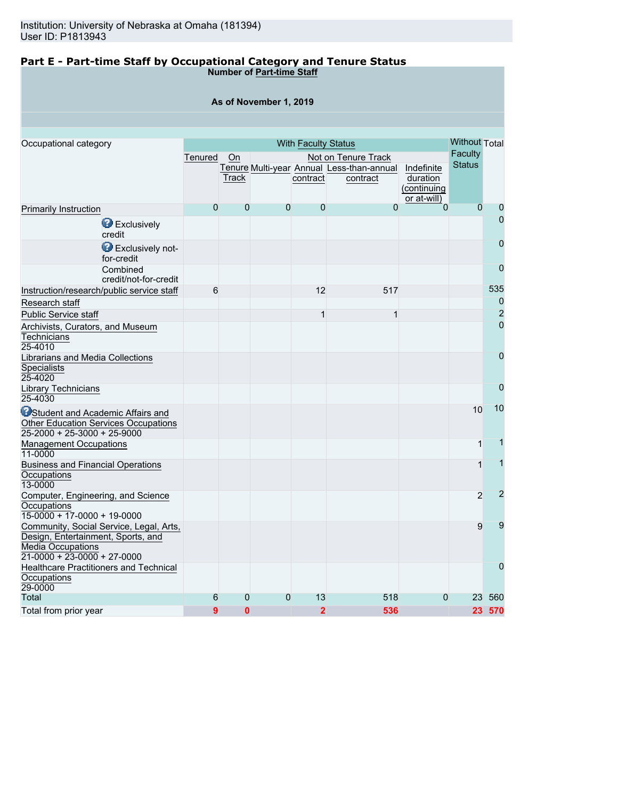# **Part E - Part-time Staff by Occupational Category and Tenure Status**

**Number of Part-time Staff**

# **As of November 1, 2019**

| Occupational category                                        | <b>With Faculty Status</b> |                |                |                |                                           |             |                | <b>Without Total</b> |
|--------------------------------------------------------------|----------------------------|----------------|----------------|----------------|-------------------------------------------|-------------|----------------|----------------------|
|                                                              | Tenured                    | On             |                |                | Not on Tenure Track                       |             | Faculty        |                      |
|                                                              |                            |                |                |                | Tenure Multi-year Annual Less-than-annual | Indefinite  | <b>Status</b>  |                      |
|                                                              |                            | Track          |                | contract       | contract                                  | duration    |                |                      |
|                                                              |                            |                |                |                |                                           | (continuing |                |                      |
|                                                              |                            |                |                |                |                                           | or at-will) |                |                      |
| <b>Primarily Instruction</b>                                 | $\overline{0}$             | $\overline{0}$ | $\overline{0}$ | $\overline{0}$ | $\overline{0}$                            | $\Omega$    | $\overline{0}$ | 0                    |
| <b>B</b> Exclusively<br>credit                               |                            |                |                |                |                                           |             |                | $\overline{0}$       |
| Exclusively not-<br>for-credit                               |                            |                |                |                |                                           |             |                | 0                    |
| Combined<br>credit/not-for-credit                            |                            |                |                |                |                                           |             |                | $\overline{0}$       |
| Instruction/research/public service staff                    | 6                          |                |                | 12             | 517                                       |             |                | 535                  |
| Research staff                                               |                            |                |                |                |                                           |             |                | $\overline{0}$       |
| Public Service staff                                         |                            |                |                | $\mathbf 1$    | 1                                         |             |                | $\overline{2}$       |
| Archivists, Curators, and Museum                             |                            |                |                |                |                                           |             |                | $\overline{0}$       |
| Technicians                                                  |                            |                |                |                |                                           |             |                |                      |
| 25-4010                                                      |                            |                |                |                |                                           |             |                |                      |
| Librarians and Media Collections                             |                            |                |                |                |                                           |             |                | $\mathbf{0}$         |
| <b>Specialists</b>                                           |                            |                |                |                |                                           |             |                |                      |
| 25-4020                                                      |                            |                |                |                |                                           |             |                |                      |
| <b>Library Technicians</b><br>$25 - 4030$                    |                            |                |                |                |                                           |             |                | 0                    |
| <b>O</b> Student and Academic Affairs and                    |                            |                |                |                |                                           |             | 10             | 10                   |
| <b>Other Education Services Occupations</b>                  |                            |                |                |                |                                           |             |                |                      |
| $25-2000 + 25-3000 + 25-9000$                                |                            |                |                |                |                                           |             |                |                      |
| <b>Management Occupations</b><br>11-0000                     |                            |                |                |                |                                           |             | 1              |                      |
| <b>Business and Financial Operations</b><br>Occupations      |                            |                |                |                |                                           |             |                | 1                    |
| 13-0000                                                      |                            |                |                |                |                                           |             |                |                      |
| Computer, Engineering, and Science<br>Occupations            |                            |                |                |                |                                           |             | $\overline{2}$ | $\overline{2}$       |
| $15-0000 + 17-0000 + 19-0000$                                |                            |                |                |                |                                           |             |                |                      |
| Community, Social Service, Legal, Arts,                      |                            |                |                |                |                                           |             | 9              | 9                    |
| Design, Entertainment, Sports, and                           |                            |                |                |                |                                           |             |                |                      |
| <b>Media Occupations</b>                                     |                            |                |                |                |                                           |             |                |                      |
| $21-0000 + 23-0000 + 27-0000$                                |                            |                |                |                |                                           |             |                | $\overline{0}$       |
| <b>Healthcare Practitioners and Technical</b><br>Occupations |                            |                |                |                |                                           |             |                |                      |
| 29-0000                                                      |                            |                |                |                |                                           |             |                |                      |
| Total                                                        | 6                          | 0              | $\overline{0}$ | 13             | 518                                       | 0           | 23             | 560                  |
| Total from prior year                                        | 9                          | $\bf{0}$       |                | $\overline{2}$ | 536                                       |             |                | 23 570               |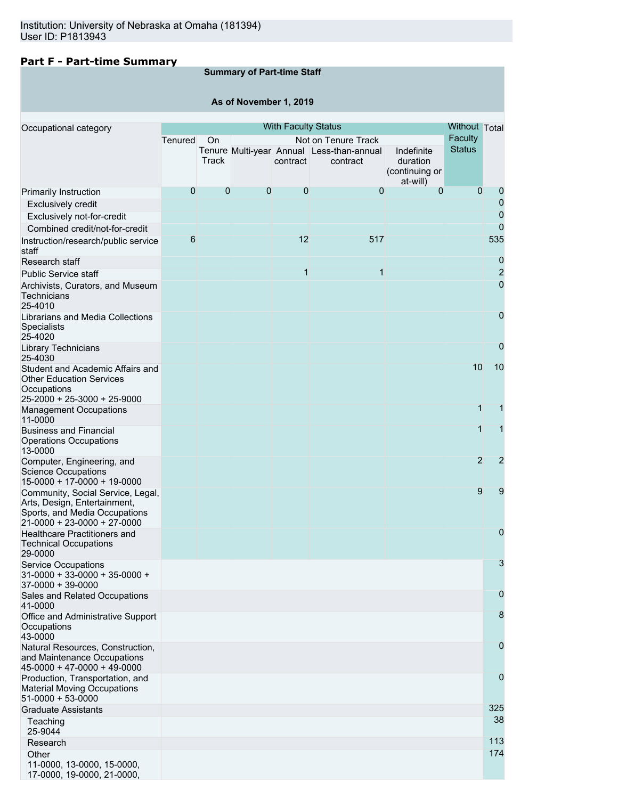# **Part F - Part-time Summary**

# **Summary of Part-time Staff**

# **As of November 1, 2019**

| Occupational category                                                                                                             |         |       |   | <b>With Faculty Status</b> |                                                       |                                          | Without Total  |                |
|-----------------------------------------------------------------------------------------------------------------------------------|---------|-------|---|----------------------------|-------------------------------------------------------|------------------------------------------|----------------|----------------|
|                                                                                                                                   | Tenured | On    |   |                            | Not on Tenure Track                                   |                                          | Faculty        |                |
|                                                                                                                                   |         | Track |   | contract                   | Tenure Multi-year Annual Less-than-annual<br>contract | Indefinite<br>duration<br>(continuing or | <b>Status</b>  |                |
|                                                                                                                                   | 0       | 0     | 0 | 0                          | $\mathbf 0$                                           | at-will)<br>$\Omega$                     | $\Omega$       | 0              |
| Primarily Instruction                                                                                                             |         |       |   |                            |                                                       |                                          |                | 0              |
| Exclusively credit                                                                                                                |         |       |   |                            |                                                       |                                          |                | 0              |
| Exclusively not-for-credit                                                                                                        |         |       |   |                            |                                                       |                                          |                | $\overline{0}$ |
| Combined credit/not-for-credit                                                                                                    | 6       |       |   | 12                         | 517                                                   |                                          |                | 535            |
| Instruction/research/public service<br>staff                                                                                      |         |       |   |                            |                                                       |                                          |                |                |
| Research staff                                                                                                                    |         |       |   |                            |                                                       |                                          |                | 0              |
| <b>Public Service staff</b>                                                                                                       |         |       |   | 1                          | 1                                                     |                                          |                | $\overline{2}$ |
| Archivists, Curators, and Museum<br>Technicians<br>25-4010                                                                        |         |       |   |                            |                                                       |                                          |                | 0              |
| Librarians and Media Collections<br><b>Specialists</b><br>25-4020                                                                 |         |       |   |                            |                                                       |                                          |                | 0              |
| <b>Library Technicians</b><br>25-4030                                                                                             |         |       |   |                            |                                                       |                                          |                | $\mathbf 0$    |
| Student and Academic Affairs and<br><b>Other Education Services</b><br>Occupations                                                |         |       |   |                            |                                                       |                                          | 10             | 10             |
| 25-2000 + 25-3000 + 25-9000<br><b>Management Occupations</b>                                                                      |         |       |   |                            |                                                       |                                          | 1              | 1              |
| 11-0000                                                                                                                           |         |       |   |                            |                                                       |                                          | 1              | 1              |
| <b>Business and Financial</b><br><b>Operations Occupations</b><br>13-0000                                                         |         |       |   |                            |                                                       |                                          |                |                |
| Computer, Engineering, and<br><b>Science Occupations</b><br>15-0000 + 17-0000 + 19-0000                                           |         |       |   |                            |                                                       |                                          | $\overline{2}$ | 2              |
| Community, Social Service, Legal,<br>Arts, Design, Entertainment,<br>Sports, and Media Occupations<br>21-0000 + 23-0000 + 27-0000 |         |       |   |                            |                                                       |                                          | 9              | 9              |
| <b>Healthcare Practitioners and</b><br><b>Technical Occupations</b><br>29-0000                                                    |         |       |   |                            |                                                       |                                          |                | 0              |
| <b>Service Occupations</b><br>$31-0000 + 33-0000 + 35-0000 +$<br>37-0000 + 39-0000                                                |         |       |   |                            |                                                       |                                          |                | 3              |
| Sales and Related Occupations<br>41-0000                                                                                          |         |       |   |                            |                                                       |                                          |                | $\mathbf 0$    |
| Office and Administrative Support<br>Occupations<br>43-0000                                                                       |         |       |   |                            |                                                       |                                          |                | 8              |
| Natural Resources, Construction,<br>and Maintenance Occupations<br>$45-0000 + 47-0000 + 49-0000$                                  |         |       |   |                            |                                                       |                                          |                | 0              |
| Production, Transportation, and<br><b>Material Moving Occupations</b><br>$51-0000 + 53-0000$                                      |         |       |   |                            |                                                       |                                          |                | 0              |
| <b>Graduate Assistants</b>                                                                                                        |         |       |   |                            |                                                       |                                          |                | 325            |
| Teaching<br>25-9044                                                                                                               |         |       |   |                            |                                                       |                                          |                | 38             |
| Research                                                                                                                          |         |       |   |                            |                                                       |                                          |                | 113            |
| Other<br>11-0000, 13-0000, 15-0000,<br>17-0000, 19-0000, 21-0000,                                                                 |         |       |   |                            |                                                       |                                          |                | 174            |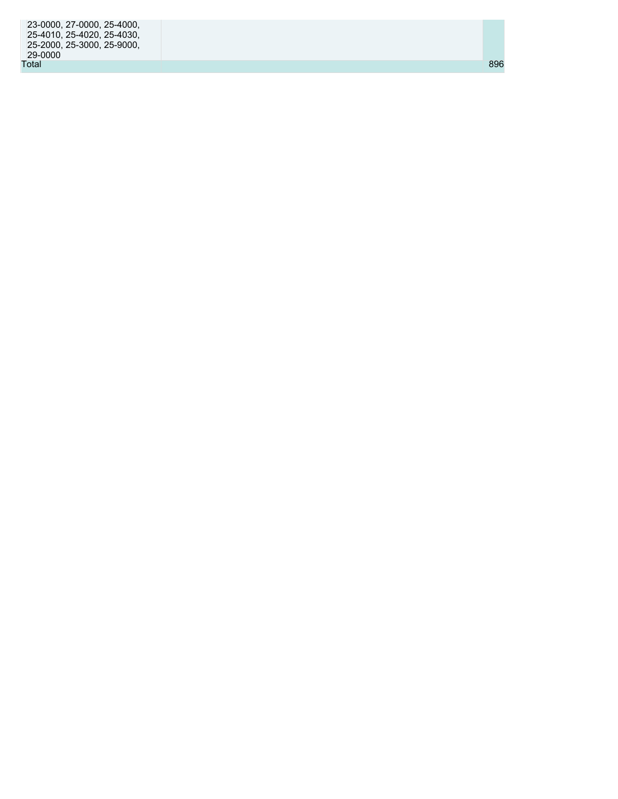| 23-0000, 27-0000, 25-4000, |     |  |
|----------------------------|-----|--|
| 25-4010, 25-4020, 25-4030, |     |  |
| 25-2000, 25-3000, 25-9000, |     |  |
| 29-0000                    |     |  |
| Total                      | 896 |  |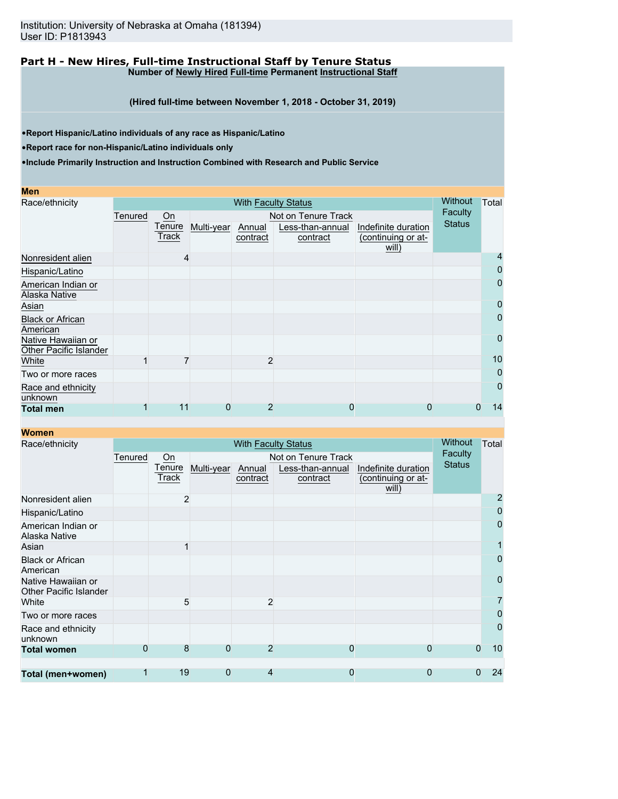#### **Part H - New Hires, Full-time Instructional Staff by Tenure Status Number of Newly Hired Full-time Permanent Instructional Staff**

**(Hired full-time between November 1, 2018 - October 31, 2019)**

•**Report Hispanic/Latino individuals of any race as Hispanic/Latino**

•**Report race for non-Hispanic/Latino individuals only**

| Men                                          |                            |        |            |                |                     |                     |               |                |
|----------------------------------------------|----------------------------|--------|------------|----------------|---------------------|---------------------|---------------|----------------|
| Race/ethnicity                               | <b>With Faculty Status</b> |        |            |                |                     |                     | Without       | Total          |
|                                              | Tenured                    | On     |            |                | Not on Tenure Track |                     | Faculty       |                |
|                                              |                            | Tenure | Multi-year | Annual         | Less-than-annual    | Indefinite duration | <b>Status</b> |                |
|                                              |                            | Track  |            | contract       | contract            | (continuing or at-  |               |                |
| Nonresident alien                            |                            |        |            |                |                     | will)               |               | 4              |
| Hispanic/Latino                              |                            |        |            |                |                     |                     |               | 0              |
| American Indian or                           |                            |        |            |                |                     |                     |               | 0              |
| Alaska Native                                |                            |        |            |                |                     |                     |               |                |
| Asian                                        |                            |        |            |                |                     |                     |               | 0              |
| <b>Black or African</b><br>American          |                            |        |            |                |                     |                     |               | 0              |
| Native Hawaiian or<br>Other Pacific Islander |                            |        |            |                |                     |                     |               | 0              |
| White                                        |                            |        |            | $\overline{2}$ |                     |                     |               | 10             |
| Two or more races                            |                            |        |            |                |                     |                     |               | 0              |
| Race and ethnicity<br>unknown                |                            |        |            |                |                     |                     |               | $\overline{0}$ |
| <b>Total men</b>                             |                            | 11     | 0          | $\overline{2}$ | 0                   | 0                   |               | 14             |

| <b>Women</b>                                 |                            |                |                |                |                     |                             |               |                |
|----------------------------------------------|----------------------------|----------------|----------------|----------------|---------------------|-----------------------------|---------------|----------------|
| Race/ethnicity                               | <b>With Faculty Status</b> |                |                |                |                     |                             | Without       | Total          |
|                                              | Tenured                    | On             |                |                | Not on Tenure Track |                             | Faculty       |                |
|                                              |                            | Tenure         | Multi-year     | Annual         | Less-than-annual    | Indefinite duration         | <b>Status</b> |                |
|                                              |                            | Track          |                | contract       | contract            | (continuing or at-<br>will) |               |                |
| Nonresident alien                            |                            | $\overline{2}$ |                |                |                     |                             |               | $\overline{2}$ |
| Hispanic/Latino                              |                            |                |                |                |                     |                             |               | $\mathbf 0$    |
| American Indian or<br>Alaska Native          |                            |                |                |                |                     |                             |               | $\overline{0}$ |
| Asian                                        |                            |                |                |                |                     |                             |               |                |
| <b>Black or African</b><br>American          |                            |                |                |                |                     |                             |               | $\mathbf 0$    |
| Native Hawaiian or<br>Other Pacific Islander |                            |                |                |                |                     |                             |               | $\overline{0}$ |
| White                                        |                            | 5              |                | 2              |                     |                             |               | 7              |
| Two or more races                            |                            |                |                |                |                     |                             |               | $\overline{0}$ |
| Race and ethnicity<br>unknown                |                            |                |                |                |                     |                             |               | 0              |
| <b>Total women</b>                           | 0                          | 8              | $\overline{0}$ | $\overline{2}$ | 0                   | 0                           | $\Omega$      | 10             |
|                                              |                            |                |                |                |                     |                             |               |                |
| Total (men+women)                            |                            | 19             | 0              | 4              | 0                   | 0                           | $\Omega$      | 24             |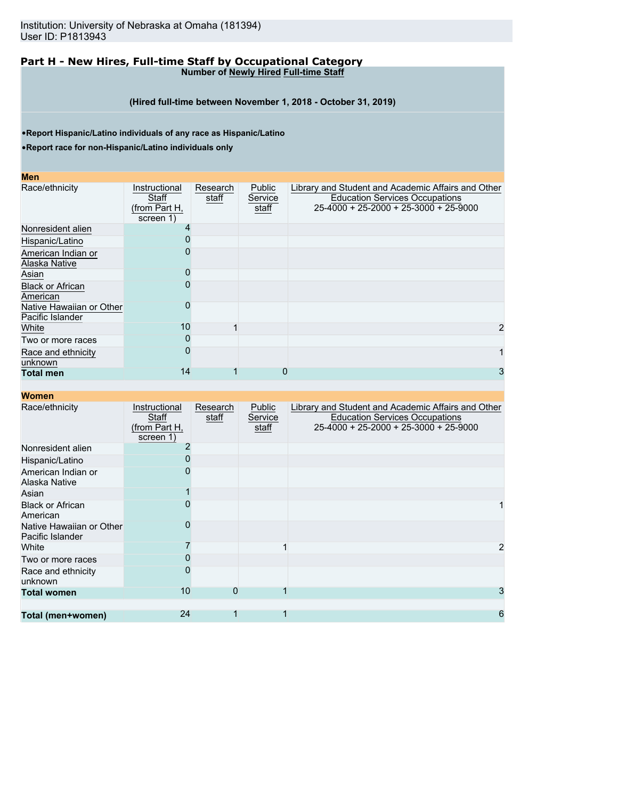#### **Part H - New Hires, Full-time Staff by Occupational Category Number of Newly Hired Full-time Staff**

**(Hired full-time between November 1, 2018 - October 31, 2019)**

•**Report Hispanic/Latino individuals of any race as Hispanic/Latino**

•**Report race for non-Hispanic/Latino individuals only**

#### **Men**

| Race/ethnicity                               | Instructional<br>Staff<br>(from Part H,<br>screen 1) | Research<br>staff | Public<br>Service<br>staff | Library and Student and Academic Affairs and Other<br><b>Education Services Occupations</b><br>25-4000 + 25-2000 + 25-3000 + 25-9000 |
|----------------------------------------------|------------------------------------------------------|-------------------|----------------------------|--------------------------------------------------------------------------------------------------------------------------------------|
| Nonresident alien                            |                                                      |                   |                            |                                                                                                                                      |
| Hispanic/Latino                              |                                                      |                   |                            |                                                                                                                                      |
| American Indian or                           |                                                      |                   |                            |                                                                                                                                      |
| Alaska Native                                |                                                      |                   |                            |                                                                                                                                      |
| Asian                                        |                                                      |                   |                            |                                                                                                                                      |
| <b>Black or African</b><br>American          |                                                      |                   |                            |                                                                                                                                      |
| Native Hawaiian or Other<br>Pacific Islander |                                                      |                   |                            |                                                                                                                                      |
| White                                        | 10                                                   |                   |                            | 2                                                                                                                                    |
| Two or more races                            |                                                      |                   |                            |                                                                                                                                      |
| Race and ethnicity<br>unknown                |                                                      |                   |                            |                                                                                                                                      |
| <b>Total men</b>                             | 14                                                   |                   |                            | 3                                                                                                                                    |

| Race/ethnicity                               | Instructional<br>Staff<br>(from Part H,<br>screen 1) | Research<br>staff | Public<br>Service<br>staff | Library and Student and Academic Affairs and Other<br><b>Education Services Occupations</b><br>25-4000 + 25-2000 + 25-3000 + 25-9000 |
|----------------------------------------------|------------------------------------------------------|-------------------|----------------------------|--------------------------------------------------------------------------------------------------------------------------------------|
| Nonresident alien                            |                                                      |                   |                            |                                                                                                                                      |
| Hispanic/Latino                              |                                                      |                   |                            |                                                                                                                                      |
| American Indian or<br>Alaska Native          |                                                      |                   |                            |                                                                                                                                      |
| Asian                                        |                                                      |                   |                            |                                                                                                                                      |
| <b>Black or African</b><br>American          |                                                      |                   |                            |                                                                                                                                      |
| Native Hawaiian or Other<br>Pacific Islander |                                                      |                   |                            |                                                                                                                                      |
| White                                        |                                                      |                   |                            | 2                                                                                                                                    |
| Two or more races                            |                                                      |                   |                            |                                                                                                                                      |
| Race and ethnicity<br>unknown                |                                                      |                   |                            |                                                                                                                                      |
| <b>Total women</b>                           | 10                                                   | 0                 |                            | 3                                                                                                                                    |
|                                              |                                                      |                   |                            |                                                                                                                                      |
| Total (men+women)                            | 24                                                   |                   |                            | 6                                                                                                                                    |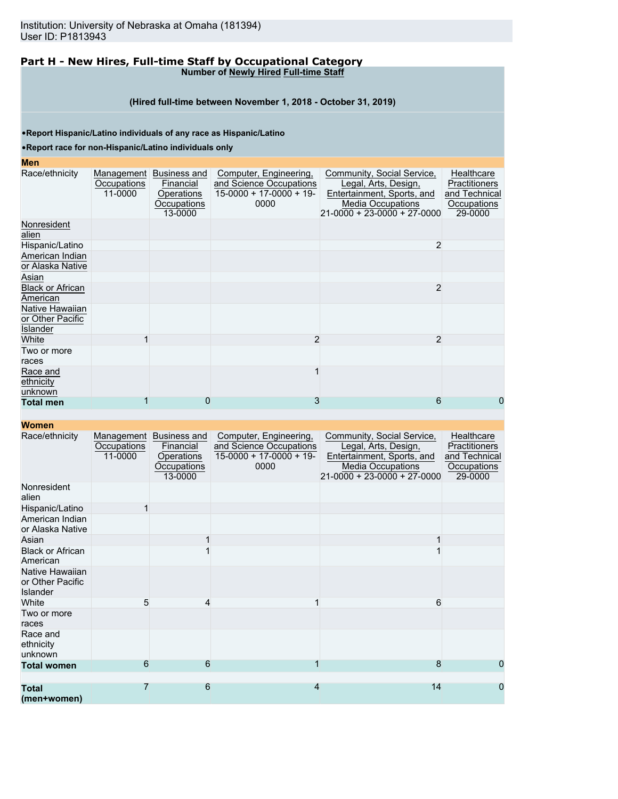#### **Part H - New Hires, Full-time Staff by Occupational Category Number of Newly Hired Full-time Staff**

#### **(Hired full-time between November 1, 2018 - October 31, 2019)**

•**Report Hispanic/Latino individuals of any race as Hispanic/Latino**

•**Report race for non-Hispanic/Latino individuals only**

#### **Men**

| Men                                             |                                      |                                                                   |                                                                                       |                                                                                                                                               |                                                                        |
|-------------------------------------------------|--------------------------------------|-------------------------------------------------------------------|---------------------------------------------------------------------------------------|-----------------------------------------------------------------------------------------------------------------------------------------------|------------------------------------------------------------------------|
| Race/ethnicity                                  | Management<br>Occupations<br>11-0000 | Business and<br>Financial<br>Operations<br>Occupations<br>13-0000 | Computer, Engineering,<br>and Science Occupations<br>$15-0000 + 17-0000 + 19$<br>0000 | Community, Social Service,<br>Legal, Arts, Design,<br>Entertainment, Sports, and<br><b>Media Occupations</b><br>$21-0000 + 23-0000 + 27-0000$ | Healthcare<br>Practitioners<br>and Technical<br>Occupations<br>29-0000 |
| Nonresident<br>alien                            |                                      |                                                                   |                                                                                       |                                                                                                                                               |                                                                        |
| Hispanic/Latino                                 |                                      |                                                                   |                                                                                       | $\overline{2}$                                                                                                                                |                                                                        |
| American Indian<br>or Alaska Native             |                                      |                                                                   |                                                                                       |                                                                                                                                               |                                                                        |
| Asian                                           |                                      |                                                                   |                                                                                       |                                                                                                                                               |                                                                        |
| <b>Black or African</b><br>American             |                                      |                                                                   |                                                                                       | $\overline{2}$                                                                                                                                |                                                                        |
| Native Hawaiian<br>or Other Pacific<br>Islander |                                      |                                                                   |                                                                                       |                                                                                                                                               |                                                                        |
| White                                           |                                      |                                                                   | $\overline{2}$                                                                        | 2                                                                                                                                             |                                                                        |
| Two or more<br>races                            |                                      |                                                                   |                                                                                       |                                                                                                                                               |                                                                        |
| Race and<br>ethnicity<br>unknown                |                                      |                                                                   |                                                                                       |                                                                                                                                               |                                                                        |
| <b>Total men</b>                                |                                      |                                                                   | 3                                                                                     | 6                                                                                                                                             | 0                                                                      |

| Race/ethnicity                                         | Management<br>Occupations<br>11-0000 | Business and<br>Financial<br>Operations<br>Occupations<br>13-0000 | Computer, Engineering,<br>and Science Occupations<br>$15-0000 + 17-0000 + 19$<br>0000 | Community, Social Service,<br>Legal, Arts, Design,<br>Entertainment, Sports, and<br><b>Media Occupations</b><br>$21 - 0000 + 23 - 0000 + 27 - 0000$ | Healthcare<br>Practitioners<br>and Technical<br>Occupations<br>29-0000 |
|--------------------------------------------------------|--------------------------------------|-------------------------------------------------------------------|---------------------------------------------------------------------------------------|-----------------------------------------------------------------------------------------------------------------------------------------------------|------------------------------------------------------------------------|
| Nonresident<br>alien                                   |                                      |                                                                   |                                                                                       |                                                                                                                                                     |                                                                        |
| Hispanic/Latino                                        |                                      |                                                                   |                                                                                       |                                                                                                                                                     |                                                                        |
| American Indian<br>or Alaska Native                    |                                      |                                                                   |                                                                                       |                                                                                                                                                     |                                                                        |
| Asian                                                  |                                      |                                                                   |                                                                                       |                                                                                                                                                     |                                                                        |
| <b>Black or African</b><br>American                    |                                      |                                                                   |                                                                                       |                                                                                                                                                     |                                                                        |
| Native Hawaiian<br>or Other Pacific<br><b>Islander</b> |                                      |                                                                   |                                                                                       |                                                                                                                                                     |                                                                        |
| White                                                  | 5                                    | 4                                                                 |                                                                                       | 6                                                                                                                                                   |                                                                        |
| Two or more<br>races                                   |                                      |                                                                   |                                                                                       |                                                                                                                                                     |                                                                        |
| Race and<br>ethnicity<br>unknown                       |                                      |                                                                   |                                                                                       |                                                                                                                                                     |                                                                        |
| <b>Total women</b>                                     | 6                                    | 6                                                                 |                                                                                       | 8                                                                                                                                                   | 0                                                                      |
|                                                        |                                      |                                                                   |                                                                                       |                                                                                                                                                     |                                                                        |
| <b>Total</b><br>(men+women)                            | $\overline{7}$                       | 6                                                                 | 4                                                                                     | 14                                                                                                                                                  | 0                                                                      |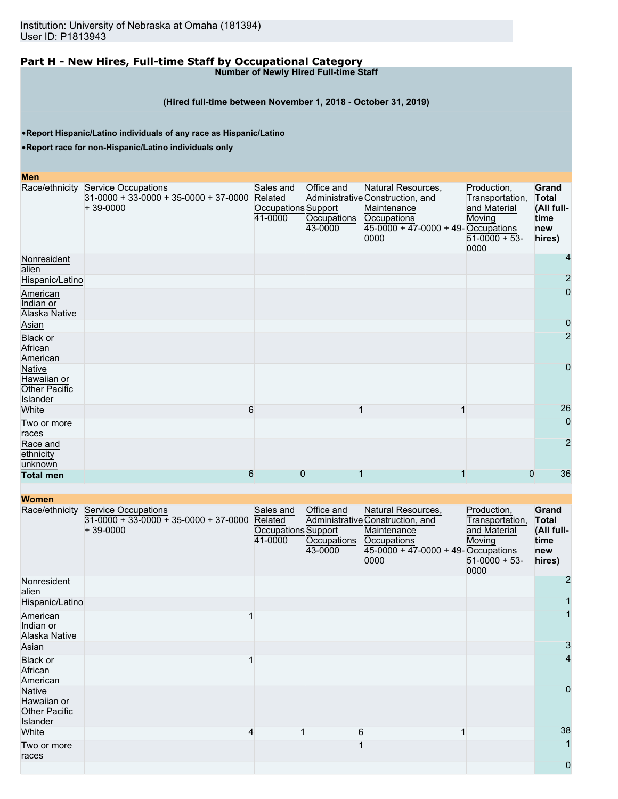#### **Part H - New Hires, Full-time Staff by Occupational Category Number of Newly Hired Full-time Staff**

# **(Hired full-time between November 1, 2018 - October 31, 2019)**

•**Report Hispanic/Latino individuals of any race as Hispanic/Latino**

•**Report race for non-Hispanic/Latino individuals only**

#### **Men**

|                                                                  | Race/ethnicity Service Occupations<br>$31-0000 + 33-0000 + 35-0000 + 37-0000$<br>$+39-0000$ | Sales and<br>Related<br>Occupations Support<br>41-0000 | Office and<br>Occupations<br>43-0000 | Natural Resources,<br>Administrative Construction, and<br>Maintenance<br>Occupations<br>$45-0000 + 47-0000 + 49$ -Occupations<br>0000 | Production,<br>Transportation,<br>and Material<br>Moving<br>$51-0000 + 53$ -<br>0000 | Grand<br><b>Total</b><br>(All full-<br>time<br>new<br>hires) |
|------------------------------------------------------------------|---------------------------------------------------------------------------------------------|--------------------------------------------------------|--------------------------------------|---------------------------------------------------------------------------------------------------------------------------------------|--------------------------------------------------------------------------------------|--------------------------------------------------------------|
| Nonresident<br>alien                                             |                                                                                             |                                                        |                                      |                                                                                                                                       |                                                                                      | 4                                                            |
| Hispanic/Latino                                                  |                                                                                             |                                                        |                                      |                                                                                                                                       |                                                                                      | $\overline{2}$                                               |
| American<br>Indian or<br>Alaska Native                           |                                                                                             |                                                        |                                      |                                                                                                                                       |                                                                                      | 0                                                            |
| Asian                                                            |                                                                                             |                                                        |                                      |                                                                                                                                       |                                                                                      | 0                                                            |
| <b>Black or</b><br>African<br>American                           |                                                                                             |                                                        |                                      |                                                                                                                                       |                                                                                      | 2                                                            |
| Native<br>Hawaiian or<br><b>Other Pacific</b><br><b>Islander</b> |                                                                                             |                                                        |                                      |                                                                                                                                       |                                                                                      | 0                                                            |
| White                                                            | 6                                                                                           |                                                        |                                      | 1                                                                                                                                     |                                                                                      | 26                                                           |
| Two or more<br>races                                             |                                                                                             |                                                        |                                      |                                                                                                                                       |                                                                                      | $\mathbf 0$                                                  |
| Race and<br>ethnicity<br>unknown                                 |                                                                                             |                                                        |                                      |                                                                                                                                       |                                                                                      | $\overline{2}$                                               |
| <b>Total men</b>                                                 | 6                                                                                           | 0                                                      |                                      |                                                                                                                                       | 0                                                                                    | 36                                                           |

| <u>WUITCH</u>                                                    |                                                                                             |                                                        |                                      |                                                                                                                                       |                                                                                    |                                                              |
|------------------------------------------------------------------|---------------------------------------------------------------------------------------------|--------------------------------------------------------|--------------------------------------|---------------------------------------------------------------------------------------------------------------------------------------|------------------------------------------------------------------------------------|--------------------------------------------------------------|
|                                                                  | Race/ethnicity Service Occupations<br>$31-0000 + 33-0000 + 35-0000 + 37-0000$<br>$+39-0000$ | Sales and<br>Related<br>Occupations Support<br>41-0000 | Office and<br>Occupations<br>43-0000 | Natural Resources,<br>Administrative Construction, and<br>Maintenance<br>Occupations<br>$45-0000 + 47-0000 + 49$ -Occupations<br>0000 | Production,<br>Transportation,<br>and Material<br>Moving<br>$51-0000 + 53$<br>0000 | Grand<br><b>Total</b><br>(All full-<br>time<br>new<br>hires) |
| Nonresident<br>alien                                             |                                                                                             |                                                        |                                      |                                                                                                                                       |                                                                                    | 2                                                            |
| Hispanic/Latino                                                  |                                                                                             |                                                        |                                      |                                                                                                                                       |                                                                                    |                                                              |
| American<br>Indian or<br>Alaska Native                           |                                                                                             |                                                        |                                      |                                                                                                                                       |                                                                                    |                                                              |
| Asian                                                            |                                                                                             |                                                        |                                      |                                                                                                                                       |                                                                                    | 3                                                            |
| Black or<br>African<br>American                                  |                                                                                             |                                                        |                                      |                                                                                                                                       |                                                                                    | 4                                                            |
| <b>Native</b><br>Hawaiian or<br><b>Other Pacific</b><br>Islander |                                                                                             |                                                        |                                      |                                                                                                                                       |                                                                                    | 0                                                            |
| White                                                            |                                                                                             |                                                        |                                      | 6                                                                                                                                     |                                                                                    | 38                                                           |
| Two or more<br>races                                             |                                                                                             |                                                        |                                      |                                                                                                                                       |                                                                                    |                                                              |
|                                                                  |                                                                                             |                                                        |                                      |                                                                                                                                       |                                                                                    | 0                                                            |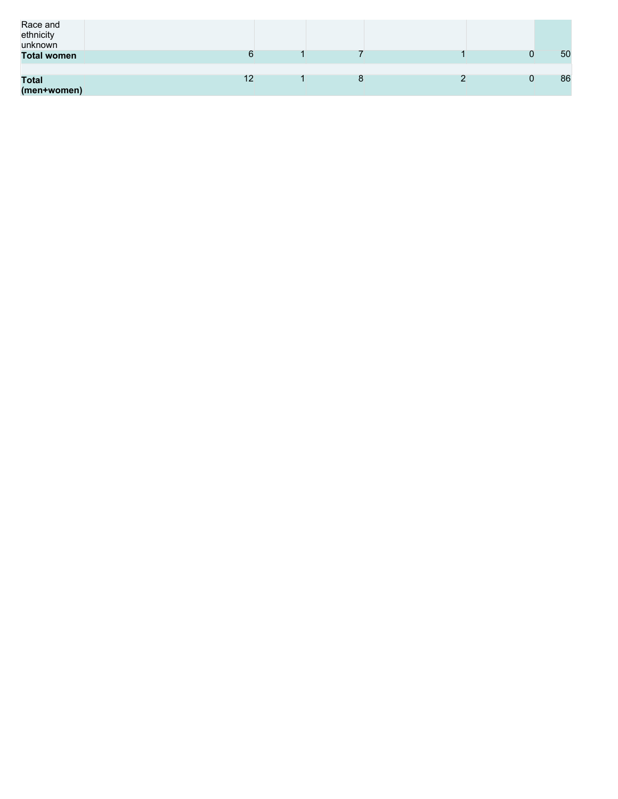| Race and<br>ethnicity<br>unknown |           |   |  |    |
|----------------------------------|-----------|---|--|----|
| <b>Total women</b>               |           |   |  | 50 |
|                                  |           |   |  |    |
| <b>Total</b><br>(men+women)      | م م<br>╶╹ | О |  | 86 |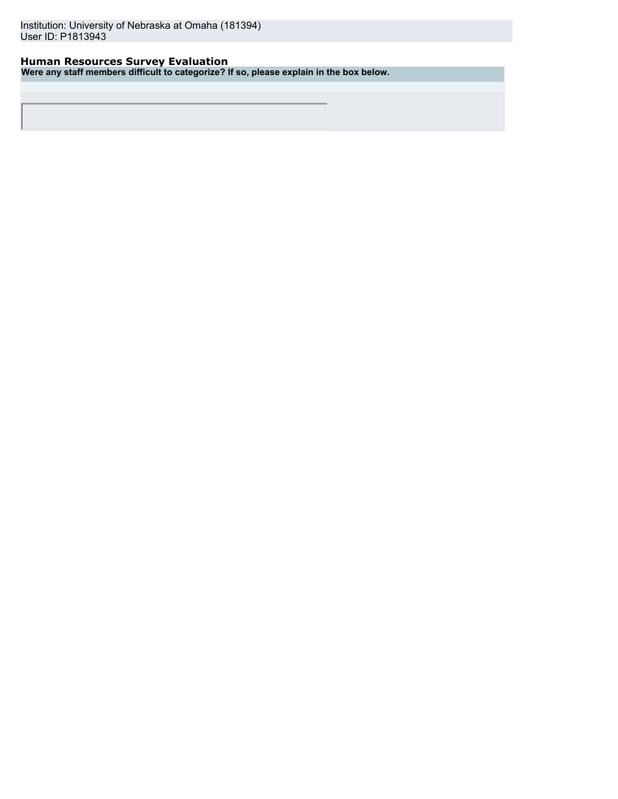# **Human Resources Survey Evaluation**

**Were any staff members difficult to categorize? If so, please explain in the box below.**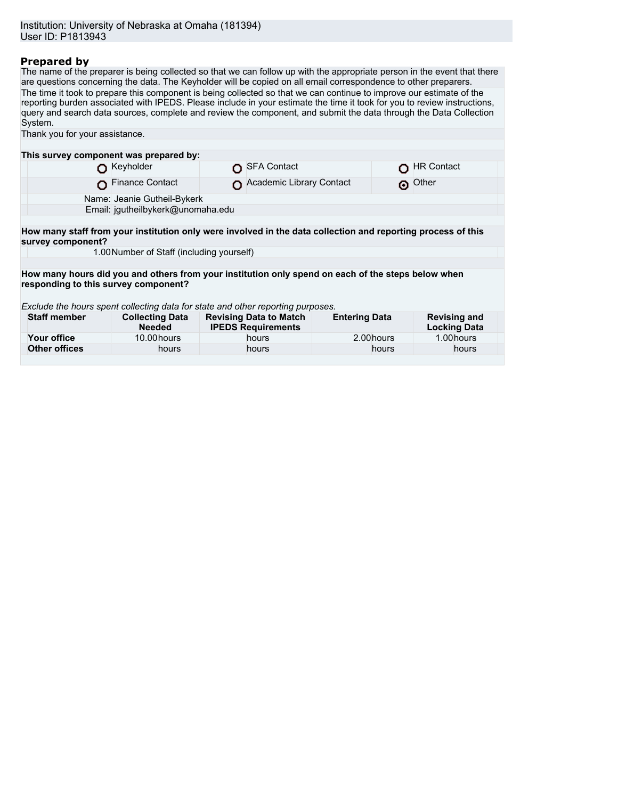# **Prepared by**

The name of the preparer is being collected so that we can follow up with the appropriate person in the event that there are questions concerning the data. The Keyholder will be copied on all email correspondence to other preparers. The time it took to prepare this component is being collected so that we can continue to improve our estimate of the reporting burden associated with IPEDS. Please include in your estimate the time it took for you to review instructions, query and search data sources, complete and review the component, and submit the data through the Data Collection System. Thank you for your assistance. **This survey component was prepared by:**

|                                                                                                                                            | <b>D</b> Keyholder                                                                                           |  | SFA Contact                   |                      |  | HR Contact          |  |
|--------------------------------------------------------------------------------------------------------------------------------------------|--------------------------------------------------------------------------------------------------------------|--|-------------------------------|----------------------|--|---------------------|--|
|                                                                                                                                            | Finance Contact                                                                                              |  | Academic Library Contact      |                      |  | O Other             |  |
|                                                                                                                                            | Name: Jeanie Gutheil-Bykerk                                                                                  |  |                               |                      |  |                     |  |
|                                                                                                                                            | Email: jgutheilbykerk@unomaha.edu                                                                            |  |                               |                      |  |                     |  |
|                                                                                                                                            |                                                                                                              |  |                               |                      |  |                     |  |
| survey component?                                                                                                                          | How many staff from your institution only were involved in the data collection and reporting process of this |  |                               |                      |  |                     |  |
|                                                                                                                                            | 1.00 Number of Staff (including yourself)                                                                    |  |                               |                      |  |                     |  |
|                                                                                                                                            |                                                                                                              |  |                               |                      |  |                     |  |
| How many hours did you and others from your institution only spend on each of the steps below when<br>responding to this survey component? |                                                                                                              |  |                               |                      |  |                     |  |
|                                                                                                                                            | Exclude the hours spent collecting data for state and other reporting purposes.                              |  |                               |                      |  |                     |  |
| <b>Staff member</b>                                                                                                                        | <b>Collecting Data</b>                                                                                       |  | <b>Revising Data to Match</b> | <b>Entering Data</b> |  | <b>Revising and</b> |  |

| Staff member  | <b>Collecting Data</b><br><b>Needed</b> | Revising Data to Match<br><b>IPEDS Requirements</b> | <b>Entering Data</b> | Revising and<br><b>Locking Data</b> |  |
|---------------|-----------------------------------------|-----------------------------------------------------|----------------------|-------------------------------------|--|
| Your office   | 10.00 hours                             | hours                                               | 2.00 hours           | 1.00 hours                          |  |
| Other offices | hours                                   | hours                                               | hours                | hours                               |  |
|               |                                         |                                                     |                      |                                     |  |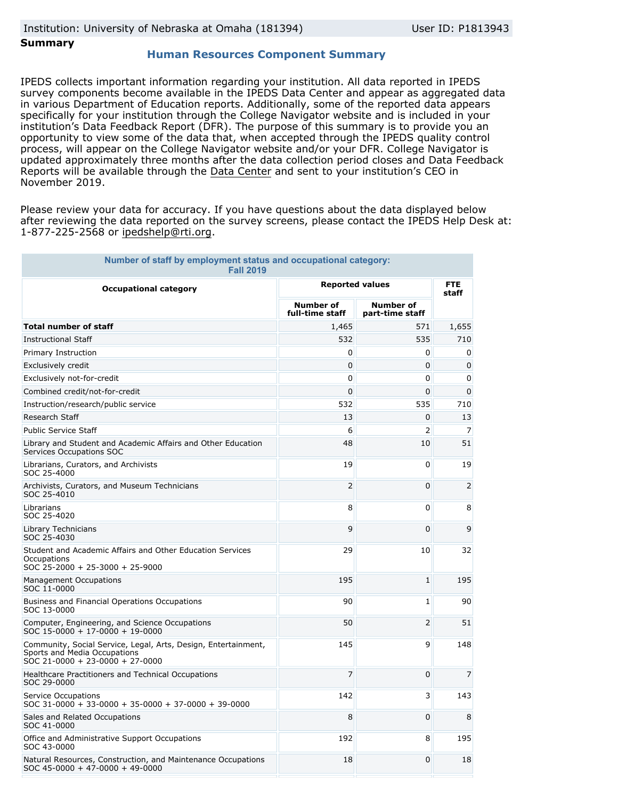## **Summary**

#### **Human Resources Component Summary**

IPEDS collects important information regarding your institution. All data reported in IPEDS survey components become available in the IPEDS Data Center and appear as aggregated data in various Department of Education reports. Additionally, some of the reported data appears specifically for your institution through the College Navigator website and is included in your institution's Data Feedback Report (DFR). The purpose of this summary is to provide you an opportunity to view some of the data that, when accepted through the IPEDS quality control process, will appear on the College Navigator website and/or your DFR. College Navigator is updated approximately three months after the data collection period closes and Data Feedback Reports will be available through the [Data Center](https://nces.ed.gov/ipeds/use-the-data) and sent to your institution's CEO in November 2019.

Please review your data for accuracy. If you have questions about the data displayed below after reviewing the data reported on the survey screens, please contact the IPEDS Help Desk at: 1-877-225-2568 or ipedshelp@rti.org.

| Number of staff by employment status and occupational category:<br><b>Fall 2019</b>                                               |                                     |                                     |                |  |  |  |
|-----------------------------------------------------------------------------------------------------------------------------------|-------------------------------------|-------------------------------------|----------------|--|--|--|
| <b>Occupational category</b>                                                                                                      | <b>Reported values</b>              | <b>FTE</b><br>staff                 |                |  |  |  |
|                                                                                                                                   | <b>Number of</b><br>full-time staff | <b>Number of</b><br>part-time staff |                |  |  |  |
| <b>Total number of staff</b>                                                                                                      | 1,465                               | 571                                 | 1,655          |  |  |  |
| <b>Instructional Staff</b>                                                                                                        | 532                                 | 535                                 | 710            |  |  |  |
| Primary Instruction                                                                                                               | 0                                   | 0                                   | 0              |  |  |  |
| Exclusively credit                                                                                                                | 0                                   | 0                                   | 0              |  |  |  |
| Exclusively not-for-credit                                                                                                        | 0                                   | 0                                   | 0              |  |  |  |
| Combined credit/not-for-credit                                                                                                    | 0                                   | 0                                   | $\mathbf{0}$   |  |  |  |
| Instruction/research/public service                                                                                               | 532                                 | 535                                 | 710            |  |  |  |
| Research Staff                                                                                                                    | 13                                  | 0                                   | 13             |  |  |  |
| <b>Public Service Staff</b>                                                                                                       | 6                                   | 2                                   | $\overline{7}$ |  |  |  |
| Library and Student and Academic Affairs and Other Education<br>Services Occupations SOC                                          | 48                                  | 10                                  | 51             |  |  |  |
| Librarians, Curators, and Archivists<br>SOC 25-4000                                                                               | 19                                  | 0                                   | 19             |  |  |  |
| Archivists, Curators, and Museum Technicians<br>SOC 25-4010                                                                       | 2                                   | 0                                   | $\overline{2}$ |  |  |  |
| Librarians<br>SOC 25-4020                                                                                                         | 8                                   | 0                                   | 8              |  |  |  |
| Library Technicians<br>SOC 25-4030                                                                                                | 9                                   | 0                                   | 9              |  |  |  |
| Student and Academic Affairs and Other Education Services<br>Occupations<br>SOC 25-2000 + 25-3000 + 25-9000                       | 29                                  | 10                                  | 32             |  |  |  |
| <b>Management Occupations</b><br>SOC 11-0000                                                                                      | 195                                 | 1                                   | 195            |  |  |  |
| Business and Financial Operations Occupations<br>SOC 13-0000                                                                      | 90                                  | $\mathbf{1}$                        | 90             |  |  |  |
| Computer, Engineering, and Science Occupations<br>SOC 15-0000 + 17-0000 + 19-0000                                                 | 50                                  | 2                                   | 51             |  |  |  |
| Community, Social Service, Legal, Arts, Design, Entertainment,<br>Sports and Media Occupations<br>SOC 21-0000 + 23-0000 + 27-0000 | 145                                 | 9                                   | 148            |  |  |  |
| Healthcare Practitioners and Technical Occupations<br>SOC 29-0000                                                                 | 7                                   | 0                                   | 7              |  |  |  |
| Service Occupations<br>$SOC$ 31-0000 + 33-0000 + 35-0000 + 37-0000 + 39-0000                                                      | 142                                 | 3                                   | 143            |  |  |  |
| Sales and Related Occupations<br>SOC 41-0000                                                                                      | 8                                   | 0                                   | 8              |  |  |  |
| Office and Administrative Support Occupations<br>SOC 43-0000                                                                      | 192                                 | 8                                   | 195            |  |  |  |
| Natural Resources, Construction, and Maintenance Occupations<br>$SOC$ 45-0000 + 47-0000 + 49-0000                                 | 18                                  | 0                                   | 18             |  |  |  |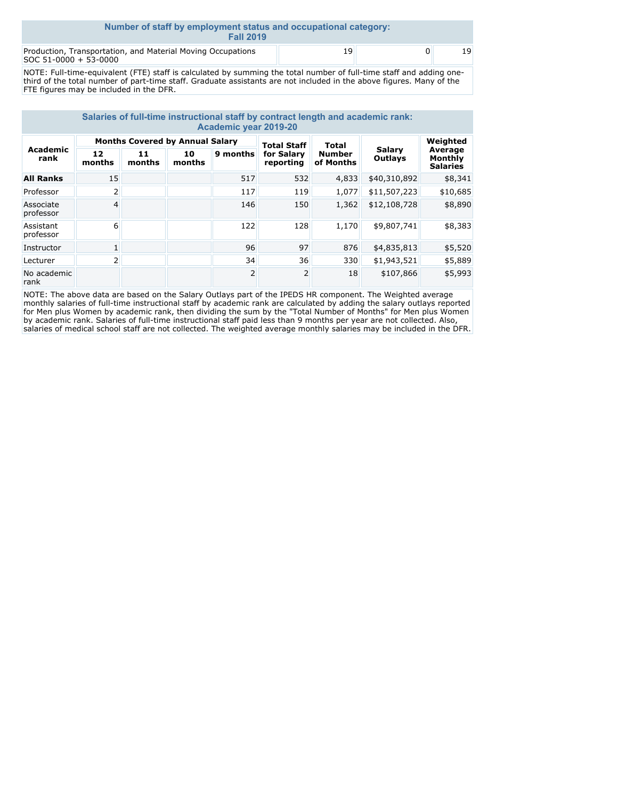| Number of staff by employment status and occupational category:<br><b>Fall 2019</b>  |    |          |    |  |  |  |
|--------------------------------------------------------------------------------------|----|----------|----|--|--|--|
| Production, Transportation, and Material Moving Occupations<br>SOC 51-0000 + 53-0000 | 19 | $\Omega$ | 19 |  |  |  |

NOTE: Full-time-equivalent (FTE) staff is calculated by summing the total number of full-time staff and adding onethird of the total number of part-time staff. Graduate assistants are not included in the above figures. Many of the FTE figures may be included in the DFR.

| Salaries of full-time instructional staff by contract length and academic rank:<br><b>Academic year 2019-20</b> |                                        |              |              |                    |                         |                            |                          |                                       |
|-----------------------------------------------------------------------------------------------------------------|----------------------------------------|--------------|--------------|--------------------|-------------------------|----------------------------|--------------------------|---------------------------------------|
| Academic<br>rank                                                                                                | <b>Months Covered by Annual Salary</b> |              |              | <b>Total Staff</b> | Total                   |                            | Weighted                 |                                       |
|                                                                                                                 | 12<br>months                           | 11<br>months | 10<br>months | 9 months           | for Salary<br>reporting | <b>Number</b><br>of Months | <b>Salarv</b><br>Outlays | Average<br>Monthly<br><b>Salaries</b> |
| <b>All Ranks</b>                                                                                                | 15                                     |              |              | 517                | 532                     | 4,833                      | \$40,310,892             | \$8,341                               |
| Professor                                                                                                       | 2                                      |              |              | 117                | 119                     | 1,077                      | \$11,507,223             | \$10,685                              |
| Associate<br>professor                                                                                          | 4                                      |              |              | 146                | 150                     | 1,362                      | \$12,108,728             | \$8,890                               |
| Assistant<br>professor                                                                                          | 6                                      |              |              | 122                | 128                     | 1,170                      | \$9,807,741              | \$8,383                               |
| Instructor                                                                                                      | 1                                      |              |              | 96                 | 97                      | 876                        | \$4,835,813              | \$5,520                               |
| Lecturer                                                                                                        | 2                                      |              |              | 34                 | 36                      | 330                        | \$1,943,521              | \$5,889                               |
| No academic<br>rank                                                                                             |                                        |              |              | 2                  | $\overline{2}$          | 18                         | \$107,866                | \$5,993                               |

NOTE: The above data are based on the Salary Outlays part of the IPEDS HR component. The Weighted average monthly salaries of full-time instructional staff by academic rank are calculated by adding the salary outlays reported for Men plus Women by academic rank, then dividing the sum by the "Total Number of Months" for Men plus Women by academic rank. Salaries of full-time instructional staff paid less than 9 months per year are not collected. Also, salaries of medical school staff are not collected. The weighted average monthly salaries may be included in the DFR.